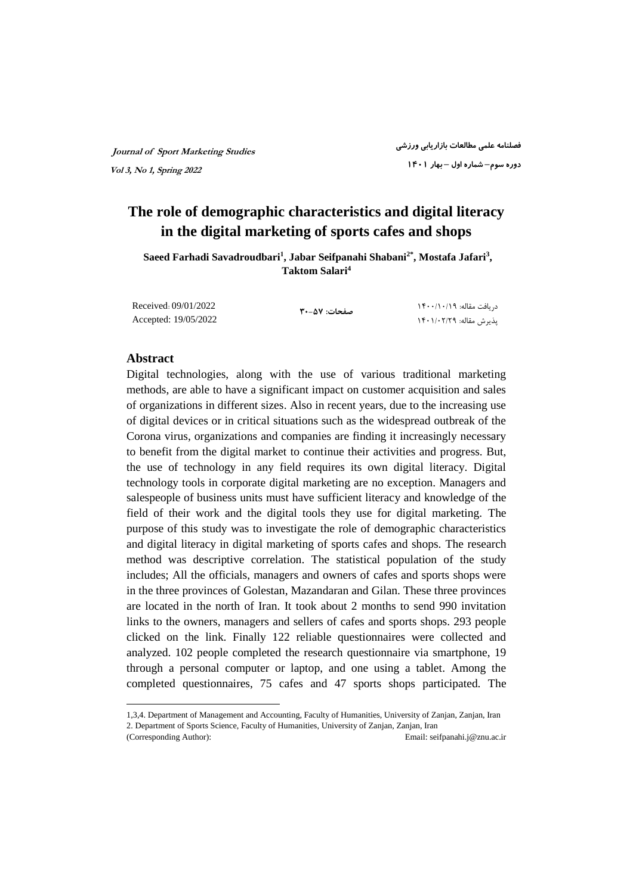## **The role of demographic characteristics and digital literacy in the digital marketing of sports cafes and shops**

**Saeed Farhadi Savadroudbari<sup>1</sup> , Jabar Seifpanahi Shabani2\*, Mostafa Jafari<sup>3</sup> , Taktom Salari<sup>4</sup>**

Received: 09/01/2022 Accepted: 19/05/2022

**صفحات: ۳۰-۵۷**

 دریافت مقاله: ۱۴۰۰/۱۰/۱۹ پذیرش مقاله: ۱۴۰۱/۰۲/۲۹

#### **Abstract**

Digital technologies, along with the use of various traditional marketing methods, are able to have a significant impact on customer acquisition and sales of organizations in different sizes. Also in recent years, due to the increasing use of digital devices or in critical situations such as the widespread outbreak of the Corona virus, organizations and companies are finding it increasingly necessary to benefit from the digital market to continue their activities and progress. But, the use of technology in any field requires its own digital literacy. Digital technology tools in corporate digital marketing are no exception. Managers and salespeople of business units must have sufficient literacy and knowledge of the field of their work and the digital tools they use for digital marketing. The purpose of this study was to investigate the role of demographic characteristics and digital literacy in digital marketing of sports cafes and shops. The research method was descriptive correlation. The statistical population of the study includes; All the officials, managers and owners of cafes and sports shops were in the three provinces of Golestan, Mazandaran and Gilan. These three provinces are located in the north of Iran. It took about 2 months to send 990 invitation links to the owners, managers and sellers of cafes and sports shops. 293 people clicked on the link. Finally 122 reliable questionnaires were collected and analyzed. 102 people completed the research questionnaire via smartphone, 19 through a personal computer or laptop, and one using a tablet. Among the completed questionnaires, 75 cafes and 47 sports shops participated. The

l 1,3,4. Department of Management and Accounting, Faculty of Humanities, University of Zanjan, Zanjan, Iran

<sup>2.</sup> Department of Sports Science, Faculty of Humanities, University of Zanjan, Zanjan, Iran (Corresponding Author): Email: [seifpanahi.j@znu.ac.ir](mailto:seifpanahi.j@znu.ac.ir)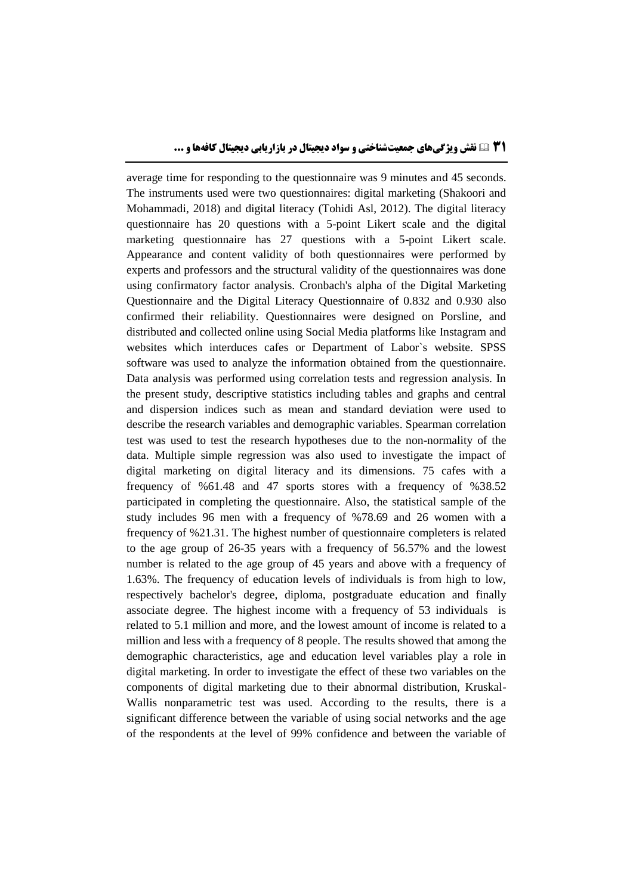average time for responding to the questionnaire was 9 minutes and 45 seconds. The instruments used were two questionnaires: digital marketing (Shakoori and Mohammadi, 2018) and digital literacy (Tohidi Asl, 2012). The digital literacy questionnaire has 20 questions with a 5-point Likert scale and the digital marketing questionnaire has 27 questions with a 5-point Likert scale. Appearance and content validity of both questionnaires were performed by experts and professors and the structural validity of the questionnaires was done using confirmatory factor analysis. Cronbach's alpha of the Digital Marketing Questionnaire and the Digital Literacy Questionnaire of 0.832 and 0.930 also confirmed their reliability. Questionnaires were designed on Porsline, and distributed and collected online using Social Media platforms like Instagram and websites which interduces cafes or Department of Labor`s website. SPSS software was used to analyze the information obtained from the questionnaire. Data analysis was performed using correlation tests and regression analysis. In the present study, descriptive statistics including tables and graphs and central and dispersion indices such as mean and standard deviation were used to describe the research variables and demographic variables. Spearman correlation test was used to test the research hypotheses due to the non-normality of the data. Multiple simple regression was also used to investigate the impact of digital marketing on digital literacy and its dimensions. 75 cafes with a frequency of %61.48 and 47 sports stores with a frequency of %38.52 participated in completing the questionnaire. Also, the statistical sample of the study includes 96 men with a frequency of %78.69 and 26 women with a frequency of %21.31. The highest number of questionnaire completers is related to the age group of 26-35 years with a frequency of 56.57% and the lowest number is related to the age group of 45 years and above with a frequency of 1.63%. The frequency of education levels of individuals is from high to low, respectively bachelor's degree, diploma, postgraduate education and finally associate degree. The highest income with a frequency of 53 individuals is related to 5.1 million and more, and the lowest amount of income is related to a million and less with a frequency of 8 people. The results showed that among the demographic characteristics, age and education level variables play a role in digital marketing. In order to investigate the effect of these two variables on the components of digital marketing due to their abnormal distribution, Kruskal-Wallis nonparametric test was used. According to the results, there is a significant difference between the variable of using social networks and the age of the respondents at the level of 99% confidence and between the variable of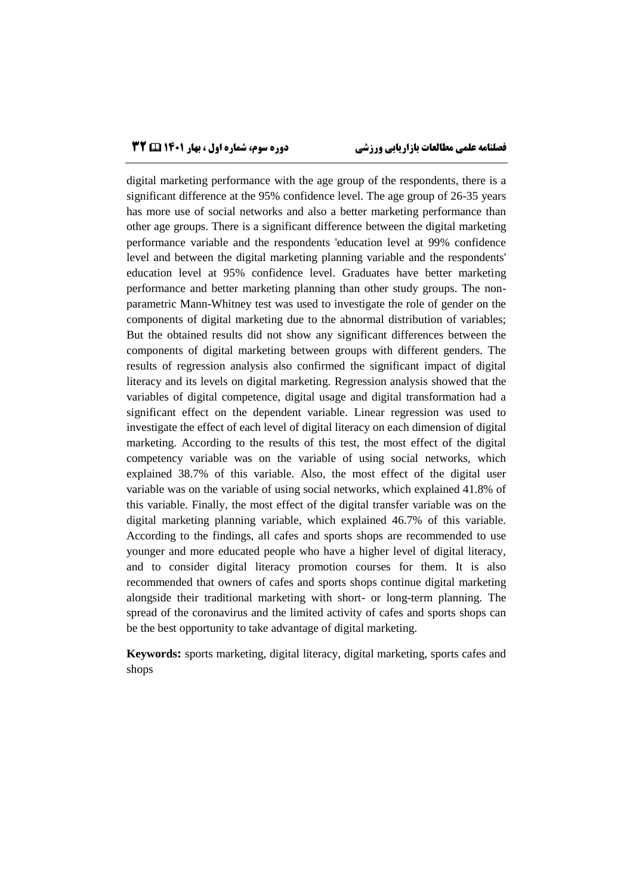digital marketing performance with the age group of the respondents, there is a significant difference at the 95% confidence level. The age group of 26-35 years has more use of social networks and also a better marketing performance than other age groups. There is a significant difference between the digital marketing performance variable and the respondents 'education level at 99% confidence level and between the digital marketing planning variable and the respondents' education level at 95% confidence level. Graduates have better marketing performance and better marketing planning than other study groups. The nonparametric Mann-Whitney test was used to investigate the role of gender on the components of digital marketing due to the abnormal distribution of variables; But the obtained results did not show any significant differences between the components of digital marketing between groups with different genders. The results of regression analysis also confirmed the significant impact of digital literacy and its levels on digital marketing. Regression analysis showed that the variables of digital competence, digital usage and digital transformation had a significant effect on the dependent variable. Linear regression was used to investigate the effect of each level of digital literacy on each dimension of digital marketing. According to the results of this test, the most effect of the digital competency variable was on the variable of using social networks, which explained 38.7% of this variable. Also, the most effect of the digital user variable was on the variable of using social networks, which explained 41.8% of this variable. Finally, the most effect of the digital transfer variable was on the digital marketing planning variable, which explained 46.7% of this variable. According to the findings, all cafes and sports shops are recommended to use younger and more educated people who have a higher level of digital literacy, and to consider digital literacy promotion courses for them. It is also recommended that owners of cafes and sports shops continue digital marketing alongside their traditional marketing with short- or long-term planning. The spread of the coronavirus and the limited activity of cafes and sports shops can be the best opportunity to take advantage of digital marketing.

**Keywords:** sports marketing, digital literacy, digital marketing, sports cafes and shops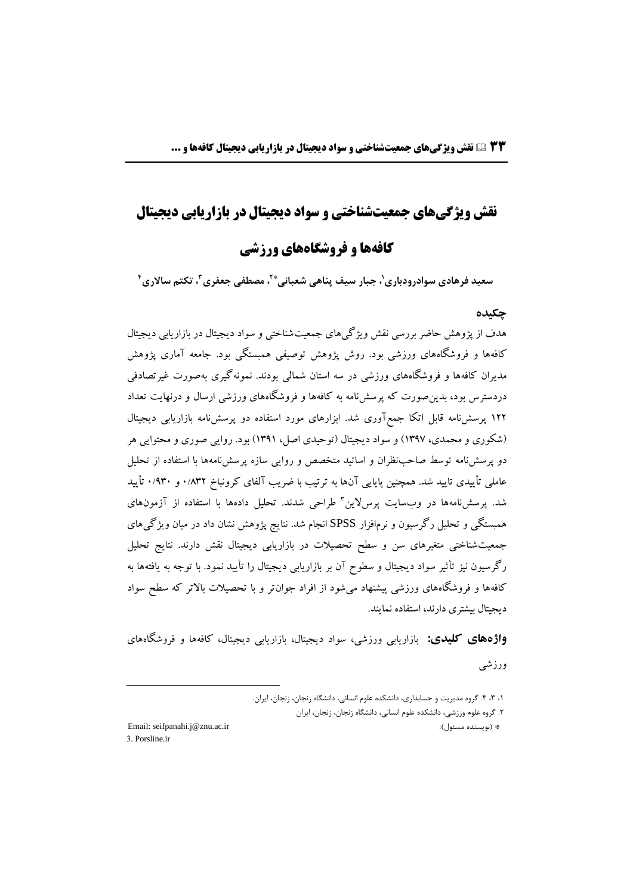## **نقش ویژگیهای جمعیتشناختی و سواد دیجیتال در بازاریابی دیجیتال**

## **کافهها و فروشگاههای ورزشی**

**4 ، تکتم ساالری <sup>۳</sup> ، مصطفی جعفری \*2 ، جبار سیف پناهی شعبانی <sup>1</sup> سعید فرهادی سوادرودباری**

#### **چکیده**

هدف از پژوهش حاضر بررسی نقش ویژگیهای جمعیتشناختی و سواد دیجیتال در بازاریابی دیجیتال کافهها و فروشگاههای ورزشی بود. روش پژوهش توصیفی همبستگی بود. جامعه آماری پژوهش مدیران کافهها و فروشگاههای ورزشی در سه استان شمالی بودند. نمونهگیری بهصورت غیرتصادفی دردسترس بود، بدینصورت که پرسشنامه به کافهها و فروشگاههای ورزشی ارسال و درنهایت تعداد 122 پرسشنامه قابل اتکا جمعآوری شد. ابزارهای مورد استفاده دو پرسشنامه بازاریابی دیجیتال )شکوری و محمدی، 1397( و سواد دیجیتال )توحیدی اصل، 1391( بود. روایی صوری و محتوایی هر دو پرسشنامه توسط صاحبنظران و اساتید متخصص و روایی سازه پرسشنامهها با استفاده از تحلیل عاملی تأییدی تایید شد. همچنین پایایی آنها به ترتیب با ضریب آلفای کرونباخ 0/832 و 0/930 تأیید شد. پرسشنامهها در وبسایت پرسلاین ٔ طراحی شدند. تحلیل دادهها با استفاده از آزمونهای همبستگی و تحلیل رگرسیون و نرمافزار SPSS انجام شد. نتایج پژوهش نشان داد در میان ویژگیهای جمعیتشناختی متغیرهای سن و سطح تحصیالت در بازاریابی دیجیتال نقش دارند. نتایج تحلیل رگرسیون نیز تأثیر سواد دیجیتال و سطوح آن بر بازاریابی دیجیتال را تأیید نمود. با توجه به یافتهها به کافهها و فروشگاههای ورزشی پیشنهاد میشود از افراد جوانتر و با تحصیالت باالتر که سطح سواد دیجیتال بیشتری دارند، استفاده نمایند.

**واژههاي كلیدي:** بازاریابی ورزشی، سواد دیجیتال، بازاریابی دیجیتال، کافهها و فروشگاههای ورزشی

3. Porsline.ir

l

<sup>،</sup>۱ ،۳ .۴ گروه مدیریت و حسابداری، دانشکده علوم انسانی، دانشگاه زنجان، زنجان، ایران. .۲ گروه علوم ورزشی، دانشکده علوم انسانی، دانشگاه زنجان، زنجان، ایران Email: [seifpanahi.j@znu.ac.ir](mailto:seifpanahi.j@znu.ac.ir) :)مسئول نویسنده \* )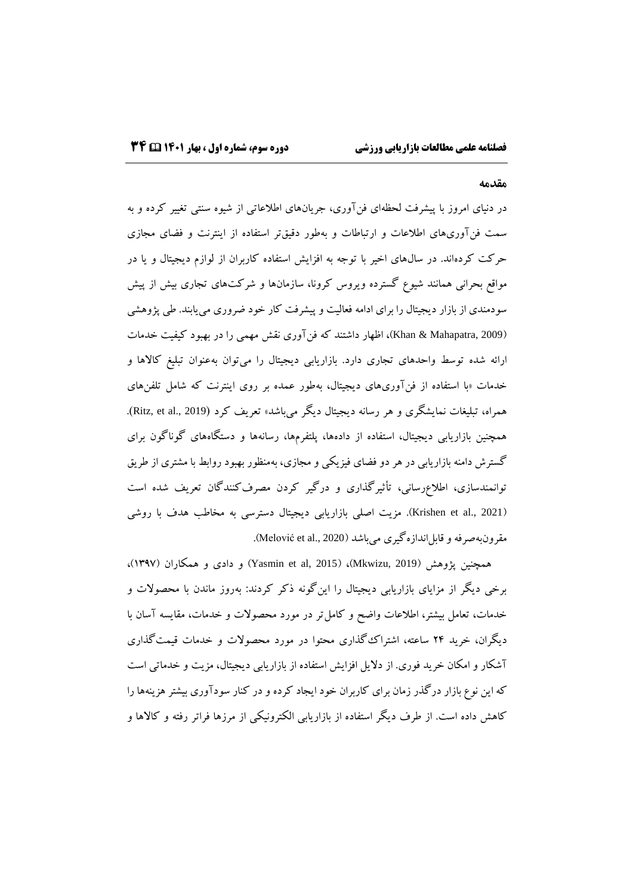#### **مقدمه**

در دنیای امروز با پیشرفت لحظهای فنآوری، جریانهای اطالعاتی از شیوه سنتی تغییر کرده و به سمت فنآوریهای اطالعات و ارتباطات و بهطور دقیقتر استفاده از اینترنت و فضای مجازی حرکت کردهاند. در سالهای اخیر با توجه به افزایش استفاده کاربران از لوازم دیجیتال و یا در مواقع بحرانی همانند شیوع گسترده ویروس کرونا، سازمانها و شرکتهای تجاری بیش از پیش سودمندی از بازار دیجیتال را برای ادامه فعالیت و پیشرفت کار خود ضروری مییابند. طی پژوهشی )2009 ,Mahapatra & Khan)، اظهار داشتند که فنآوری نقش مهمی را در بهبود کیفیت خدمات ارائه شده توسط واحدهای تجاری دارد. بازاریابی دیجیتال را میتوان بهعنوان تبلیغ کاالها و خدمات »با استفاده از فنآوریهای دیجیتال، بهطور عمده بر روی اینترنت که شامل تلفنهای همراه، تبلیغات نمایشگری و هر رسانه دیجیتال دیگر میباشد» تعریف کرد (Ritz, et al., 2019). همچنین بازاریابی دیجیتال، استفاده از دادهها، پلتفرمها، رسانهها و دستگاههای گوناگون برای گسترش دامنه بازاریابی در هر دو فضای فیزیکی و مجازی، بهمنظور بهبود روابط با مشتری از طریق توانمندسازی، اطالعرسانی، تأثیرگذاری و درگیر کردن مصرفکنندگان تعریف شده است )2021 .,al et Krishen). مزیت اصلی بازاریابی دیجیتال دسترسی به مخاطب هدف با روشی مقرونبهصرفه و قابل|ندازهگیری میباشد (Melović et al., 2020).

همچنین پژوهش (2019 ,Mkwizu)، (2015)، (Yasmin et al) و دادی و همکاران (۱۳۹۷)، برخی دیگر از مزایای بازاریابی دیجیتال را اینگونه ذکر کردند: بهروز ماندن با محصوالت و خدمات، تعامل بیشتر، اطالعات واضح و کاملتر در مورد محصوالت و خدمات، مقایسه آسان با دیگران، خرید 24 ساعته، اشتراکگذاری محتوا در مورد محصوالت و خدمات قیمتگذاری آشکار و امکان خرید فوری. از دالیل افزایش استفاده از بازاریابی دیجیتال، مزیت و خدماتی است که این نوع بازار درگذر زمان برای کاربران خود ایجاد کرده و در کنار سودآوری بیشتر هزینهها را کاهش داده است. از طرف دیگر استفاده از بازاریابی الکترونیکی از مرزها فراتر رفته و کاالها و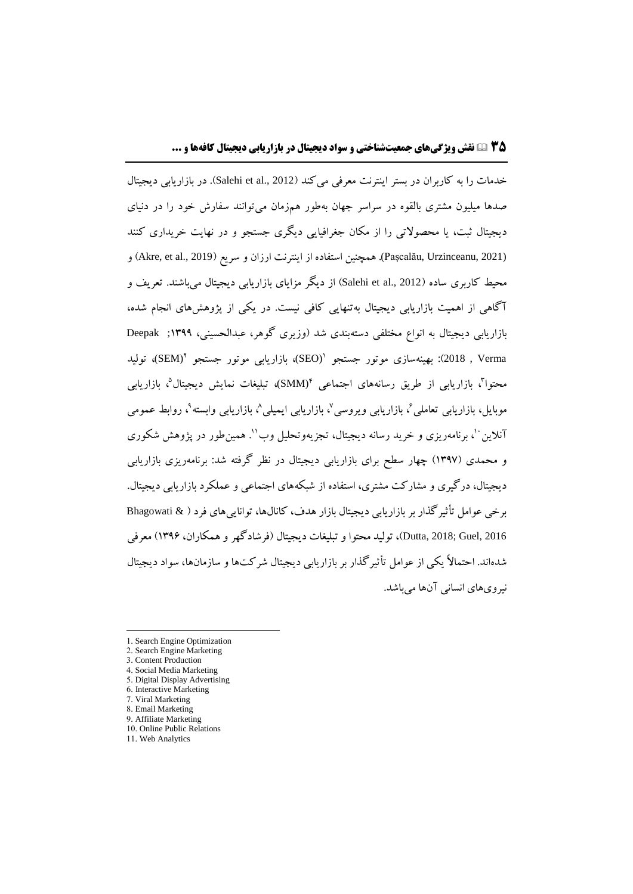خدمات را به کاربران در بستر اینترنت معرفی می کند (Salehi et al., 2012). در بازاریابی دیجیتال صدها میلیون مشتری بالقوه در سراسر جهان بهطور همزمان میتوانند سفارش خود را در دنیای دیجیتال ثبت، یا محصوالتی را از مکان جغرافیایی دیگری جستجو و در نهایت خریداری کنند (Pașcalău, Urzinceanu, 2021). همچنین استفاده از اینترنت ارزان و سریع (Akre, et al., 2019) و محیط کاربری ساده (2012 .Salehi et al) از دیگر مزایای بازاریابی دیجیتال میباشند. تعریف و آگاهی از اهمیت بازاریابی دیجیتال بهتنهایی کافی نیست. در یکی از پژوهشهای انجام شده، بازاریابی دیجیتال به انواع مختلفی دستهبندی شد )وزیری گوهر، عبدالحسینی، 1399; Deepak Uplica , Verma بهینهسازی موتور جستجو '(SEO)، بازاریابی موتور جستجو ''(SEM)، تولید محتوا<sup>م</sup>، بازاریابی از طریق رسانههای اجتماعی †(SMM)، تبلیغات نمایش دیجیتال°، بازاریابی موبایل، بازاریابی تعاملی ٌ، بازاریابی ویروسی ؓ، بازاریابی ایمیلی^، بازاریابی وابسته ؓ، روابط عمومی آنلاین ۱′، برنامهریزی و خرید رسانه دیجیتال، تجزیهوتحلیل وب''. همین طور در یژوهش شکوری و محمدی )1397( چهار سطح برای بازاریابی دیجیتال در نظر گرفته شد: برنامهریزی بازاریابی دیجیتال، درگیری و مشارکت مشتری، استفاده از شبکههای اجتماعی و عملکرد بازاریابی دیجیتال. برخی عوامل تأثیرگذار بر بازاریابی دیجیتال بازار هدف، کانالها، تواناییهای فرد ) & Bhagowati <sup>2016</sup> ,Guel; 2018 ,Dutta)، تولید محتوا و تبلیغات دیجیتال )فرشادگهر و همکاران، 1396( معرفی شدهاند. احتماالً یکی از عوامل تأثیرگذار بر بازاریابی دیجیتال شرکتها و سازمانها، سواد دیجیتال نیرویهای انسانی آنها میباشد.

 $\overline{a}$ 

9. Affiliate Marketing

<sup>1.</sup> Search Engine Optimization

<sup>2.</sup> Search Engine Marketing

<sup>3.</sup> Content Production

<sup>4.</sup> Social Media Marketing

<sup>5.</sup> Digital Display Advertising

<sup>6.</sup> Interactive Marketing

<sup>7.</sup> Viral Marketing 8. Email Marketing

<sup>10.</sup> Online Public Relations

<sup>11.</sup> Web Analytics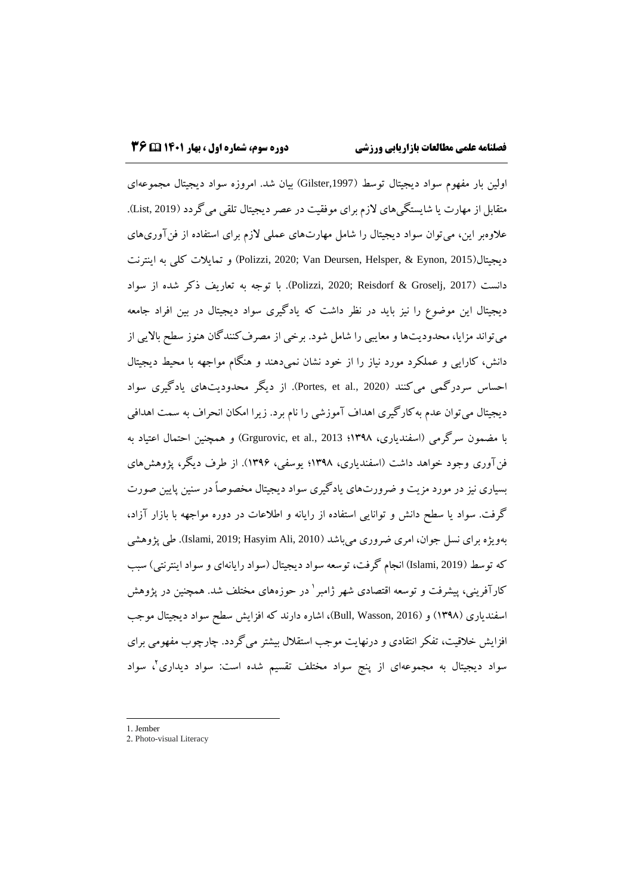اولین بار مفهوم سواد دیجیتال توسط ),1997Gilster )بیان شد. امروزه سواد دیجیتال مجموعهای متقابل از مهارت یا شایستگیهای لازم برای موفقیت در عصر دیجیتال تلقی می گردد (List, 2019). عالوهبر این، میتوان سواد دیجیتال را شامل مهارتهای عملی الزم برای استفاده از فنآوریهای دیجیتال)2015 ,Eynon & ,Helsper ,Deursen Van; 2020 ,Polizzi )و تمایالت کلی به اینترنت دانست )2017 ,Groselj & Reisdorf; 2020 ,Polizzi). با توجه به تعاریف ذکر شده از سواد دیجیتال این موضوع را نیز باید در نظر داشت که یادگیری سواد دیجیتال در بین افراد جامعه میتواند مزایا، محدودیتها و معایبی را شامل شود. برخی از مصرفکنندگان هنوز سطح باالیی از دانش، کارایی و عملکرد مورد نیاز را از خود نشان نمیدهند و هنگام مواجهه با محیط دیجیتال احساس سردرگمی میکنند (Portes, et al., 2020). از دیگر محدودیتهای یادگیری سواد دیجیتال میتوان عدم بهکارگیری اهداف آموزشی را نام برد. زیرا امکان انحراف به سمت اهدافی با مضمون سرگرمی )اسفندیاری، 1398؛ 2013 .,al et ,Grgurovic )و همچنین احتمال اعتیاد به فنآوری وجود خواهد داشت (اسفندیاری، ۱۳۹۸؛ یوسفی، ۱۳۹۶). از طرف دیگر، پژوهشهای بسیاری نیز در مورد مزیت و ضرورتهای یادگیری سواد دیجیتال مخصوصاً در سنین پایین صورت گرفت. سواد یا سطح دانش و توانایی استفاده از رایانه و اطالعات در دوره مواجهه با بازار آزاد، بهویژه برای نسل جوان، امری ضروری میباشد (Islami, 2019; Hasyim Ali, 2010). طی پژوهشی که توسط (Islami, 2019) انجام گرفت، توسعه سواد دیجیتال (سواد رایانهای و سواد اینترنتی) سبب کارآفرینی، پیشرفت و توسعه اقتصادی شهر ژامبر` در حوزههای مختلف شد. همچنین در پژوهش اسفندیاری )1398( و )2016 ,Wasson ,Bull)، اشاره دارند که افزایش سطح سواد دیجیتال موجب افزایش خالقیت، تفکر انتقادی و درنهایت موجب استقالل بیشتر میگردد. چارچوب مفهومی برای 2 سواد دیجیتال به مجموعهای از پنج سواد مختلف تقسیم شده است: سواد دیداری ، سواد

1. Jember

 $\overline{a}$ 

<sup>2.</sup> Photo-visual Literacy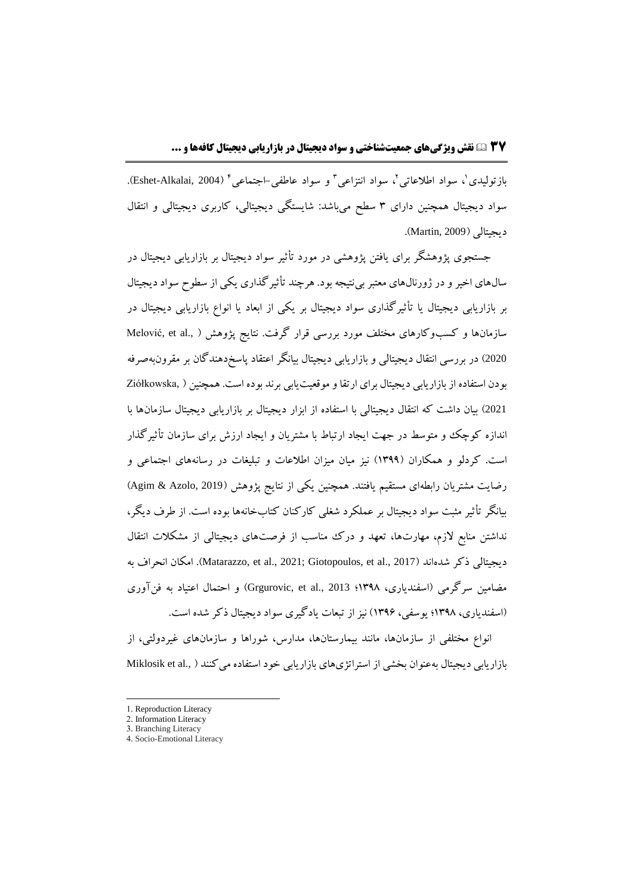بازتولیدی'، سواد اطلاعاتی'، سواد انتزاعی' و سواد عاطفی⊣جتماعی' (Eshet-Alkalai, 2004). سواد دیجیتال همچنین دارای 3 سطح میباشد: شایستگی دیجیتالی، کاربری دیجیتالی و انتقال دیجیتالی )2009 ,Martin).

جستجوی پژوهشگر برای یافتن پژوهشی در مورد تأثیر سواد دیجیتال بر بازاریابی دیجیتال در سالهای اخیر و در ژورنالهای معتبر بینتیجه بود. هرچند تأثیرگذاری یکی از سطوح سواد دیجیتال بر بازاریابی دیجیتال یا تأثیرگذاری سواد دیجیتال بر یکی از ابعاد یا انواع بازاریابی دیجیتال در سازمانها و کسبوکارهای مختلف مورد بررسی قرار گرفت. نتایج پژوهش Melović, et al., ) <sup>2020</sup>( در بررسی انتقال دیجیتالی و بازاریابی دیجیتال بیانگر اعتقاد پاسخدهندگان بر مقرونبهصرفه بودن استفاده ازبازاریابی دیجیتال برای ارتقاوموقعیتیابی برند بوده است. همچنین ) ,Ziółkowska <sup>2021</sup>( بیان داشت که انتقال دیجیتالی با استفاده از ابزار دیجیتال بر بازاریابی دیجیتال سازمانها با اندازه کوچک و متوسط در جهت ایجاد ارتباط با مشتریان و ایجاد ارزش برای سازمان تأثیرگذار است. کردلو و همکاران )1399( نیز میان میزان اطالعات و تبلیغات در رسانههای اجتماعی و رضایت مشتریان رابطهای مستقیم یافتند. همچنین یکی از نتایج پژوهش )2019 ,Azolo & Agim) بیانگر تأثیر مثبت سواد دیجیتال بر عملکرد شغلی کارکنان کتابخانهها بوده است. از طرف دیگر، نداشتن منابع لازم، مهارتها، تعهد و درک مناسب از فرصتهای دیجیتالی از مشکلات انتقال دیجیتالی ذکر شدهاند )2017 .,al et ,Giotopoulos; 2021 .,al et ,Matarazzo). امکان انحراف به مضامین سرگرمی )اسفندیاری، 1398؛ 2013 .,al et ,Grgurovic )و احتمال اعتیاد به فنآوری )اسفندیاری، 1398؛ یوسفی، 1396( نیز از تبعات یادگیری سواد دیجیتال ذکر شده است.

انواع مختلفی از سازمانها، مانند بیمارستانها، مدارس، شوراها و سازمانهای غیردولتی، از بازاریابی دیجیتال بهعنوان بخشی از استراتژیهای بازاریابی خود استفاده می کنند ( .,Miklosik et al

l

<sup>1.</sup> Reproduction Literacy

<sup>2.</sup> Information Literacy

<sup>3.</sup> Branching Literacy

<sup>4.</sup> Socio-Emotional Literacy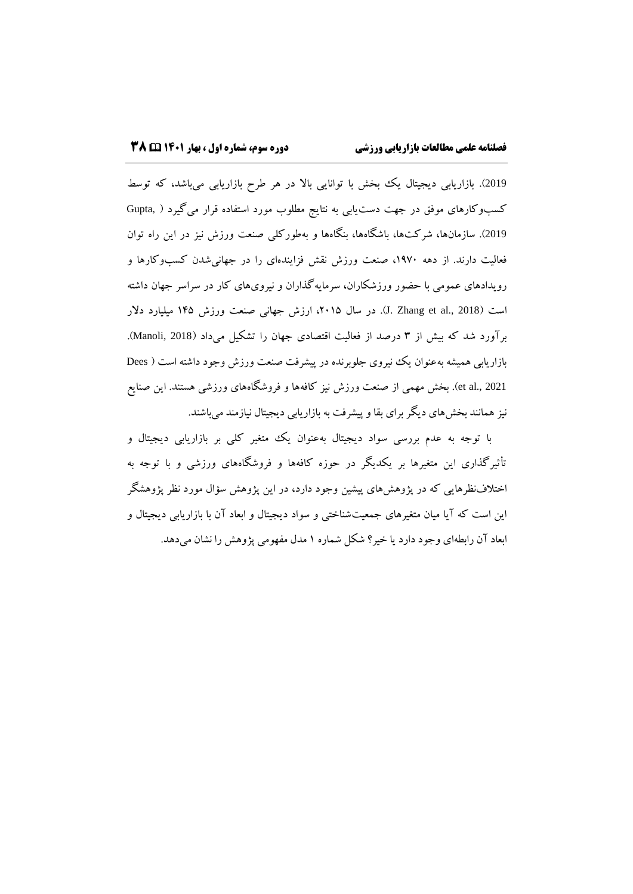2019). بازاریابی دیجیتال یک بخش با توانایی بالا در هر طرح بازاریابی می باشد، که توسط کسبوکارهای موفق در جهت دستیابی به نتایج مطلوب مورد استفاده قرار میگیرد ) ,Gupta <sup>2019</sup>(. سازمانها، شرکتها، باشگاهها، بنگاهها و بهطورکلی صنعت ورزش نیز در این راه توان فعالیت دارند. از دهه ،1970 صنعت ورزش نقش فزایندهای را در جهانیشدن کسبوکارها و رویدادهای عمومی با حضور ورزشکاران، سرمایهگذاران و نیرویهای کار در سراسر جهان داشته است )2018 .,al et Zhang .J). در سال ،2015 ارزش جهانی صنعت ورزش 145 میلیارد دالر برآورد شد که بیش از 3 درصد از فعالیت اقتصادی جهان را تشکیل میداد )2018 ,Manoli). بازاریابی همیشه بهعنوان یک نیروی جلوبرنده در پیشرفت صنعت ورزش وجود داشته است ( Dees 2021 .,al et). بخش مهمی از صنعت ورزش نیز کافهها و فروشگاههای ورزشی هستند. این صنایع نیز همانند بخشهای دیگر برای بقا و پیشرفت به بازاریابی دیجیتال نیازمند میباشند.

با توجه به عدم بررسی سواد دیجیتال بهعنوان یک متغیر کلی بر بازاریابی دیجیتال و تأثیرگذاری این متغیرها بر یکدیگر در حوزه کافهها و فروشگاههای ورزشی و با توجه به اختالفنظرهایی که در پژوهشهای پیشین وجود دارد، در این پژوهش سؤال مورد نظر پژوهشگر این است که آیا میان متغیرهای جمعیتشناختی و سواد دیجیتال و ابعاد آن با بازاریابی دیجیتال و ابعاد آن رابطهای وجود دارد یا خیر؟ شکل شماره 1 مدل مفهومی پژوهش را نشان میدهد.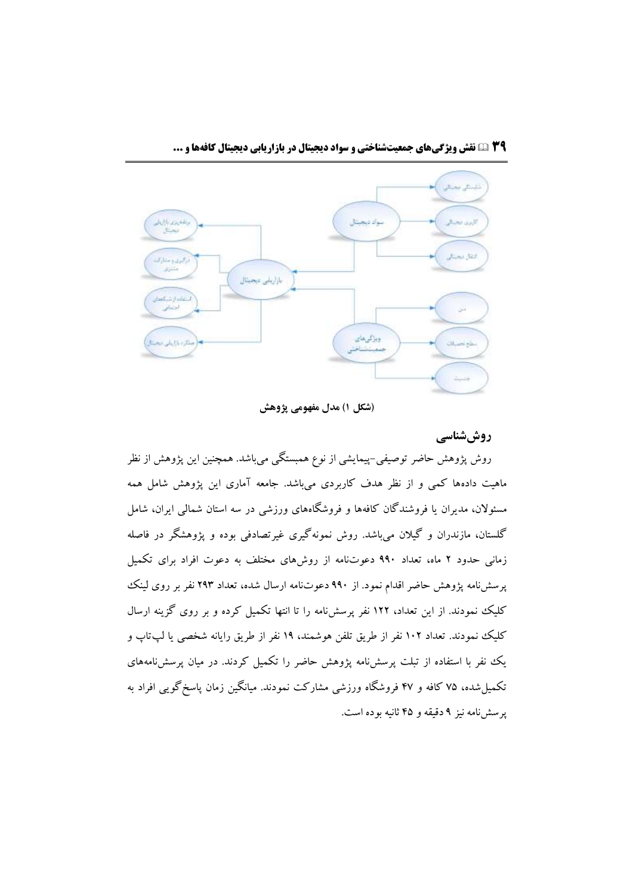

**)شکل 1( مدل مفهومی پژوهش**

## **روششناسی**

روش پژوهش حاضر توصیفی-پیمایشی از نوع همبستگی میباشد. همچنین این پژوهش از نظر ماهیت دادهها کمی و از نظر هدف کاربردی میباشد. جامعه آماری این پژوهش شامل همه مسئوالن، مدیران یا فروشندگان کافهها و فروشگاههای ورزشی در سه استان شمالی ایران، شامل گلستان، مازندران و گیالن میباشد. روش نمونهگیری غیرتصادفی بوده و پژوهشگر در فاصله زمانی حدود 2 ماه، تعداد 990 دعوتنامه از روشهای مختلف به دعوت افراد برای تکمیل پرسشنامه پژوهش حاضر اقدام نمود. از 990 دعوتنامه ارسال شده، تعداد 293 نفر بر روی لینک کلیک نمودند. از این تعداد، 122 نفر پرسشنامه را تا انتها تکمیل کرده و بر روی گزینه ارسال کلیک نمودند. تعداد 102 نفر از طریق تلفن هوشمند، 19 نفر از طریق رایانه شخصی یا لپتاپ و یک نفر با استفاده از تبلت پرسشنامه پژوهش حاضر را تکمیل کردند. در میان پرسشنامههای تکمیلشده، 75 کافه و 47 فروشگاه ورزشی مشارکت نمودند. میانگین زمان پاسخگویی افراد به پرسشنامه نیز 9 دقیقه و 45 ثانیه بوده است.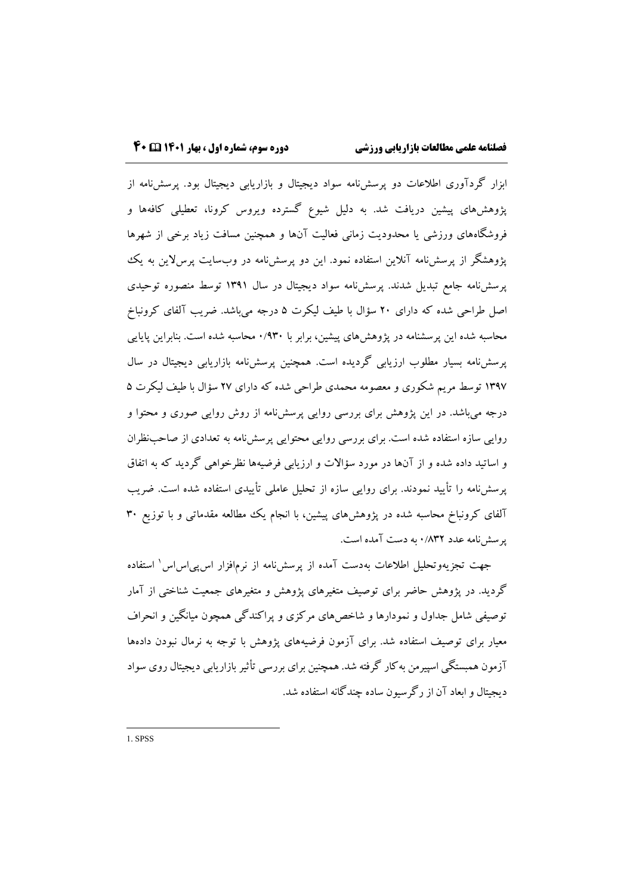ابزار گردآوری اطالعات دو پرسشنامه سواد دیجیتال و بازاریابی دیجیتال بود. پرسشنامه از پژوهشهای پیشین دریافت شد. به دلیل شیوع گسترده ویروس کرونا، تعطیلی کافهها و فروشگاههای ورزشی یا محدودیت زمانی فعالیت آنها و همچنین مسافت زیاد برخی از شهرها پژوهشگر از پرسشنامه آنالین استفاده نمود. این دو پرسشنامه در وبسایت پرسالین به یک پرسشنامه جامع تبدیل شدند. پرسشنامه سواد دیجیتال در سال 1391 توسط منصوره توحیدی اصل طراحی شده که دارای 20 سؤال با طیف لیکرت 5 درجه میباشد. ضریب آلفای کرونباخ محاسبه شده این پرسشنامه در پژوهشهای پیشین، برابر با 0/930 محاسبه شده است. بنابراین پایایی پرسشنامه بسیار مطلوب ارزیابی گردیده است. همچنین پرسشنامه بازاریابی دیجیتال در سال 1397 توسط مریم شکوری و معصومه محمدی طراحی شده که دارای 27 سؤال با طیف لیکرت 5 درجه میباشد. در این پژوهش برای بررسی روایی پرسشنامه از روش روایی صوری و محتوا و روایی سازه استفاده شده است. برای بررسی روایی محتوایی پرسشنامه به تعدادی از صاحبنظران و اساتید داده شده و از آنها در مورد سؤاالت و ارزیابی فرضیهها نظرخواهی گردید که به اتفاق پرسشنامه را تأیید نمودند. برای روایی سازه از تحلیل عاملی تأییدی استفاده شده است. ضریب آلفای کرونباخ محاسبه شده در پژوهشهای پیشین، با انجام یک مطالعه مقدماتی و با توزیع 30 پرسشنامه عدد 0/832 به دست آمده است.

جهت تجزیهوتحلیل اطلاعات بهدست آمده از پرسشنامه از نرمٖافزار اسپییاساس ٰ استفاده گردید. در پژوهش حاضر برای توصیف متغیرهای پژوهش و متغیرهای جمعیت شناختی از آمار توصیفی شامل جداول و نمودارها و شاخصهای مرکزی و پراکندگی همچون میانگین و انحراف معیار برای توصیف استفاده شد. برای آزمون فرضیههای پژوهش با توجه به نرمال نبودن دادهها آزمون همبستگی اسپیرمن بهکار گرفته شد. همچنین برای بررسی تأثیربازاریابی دیجیتال روی سواد دیجیتال و ابعاد آن از رگرسیون ساده چندگانه استفاده شد.

1. SPSS

 $\overline{a}$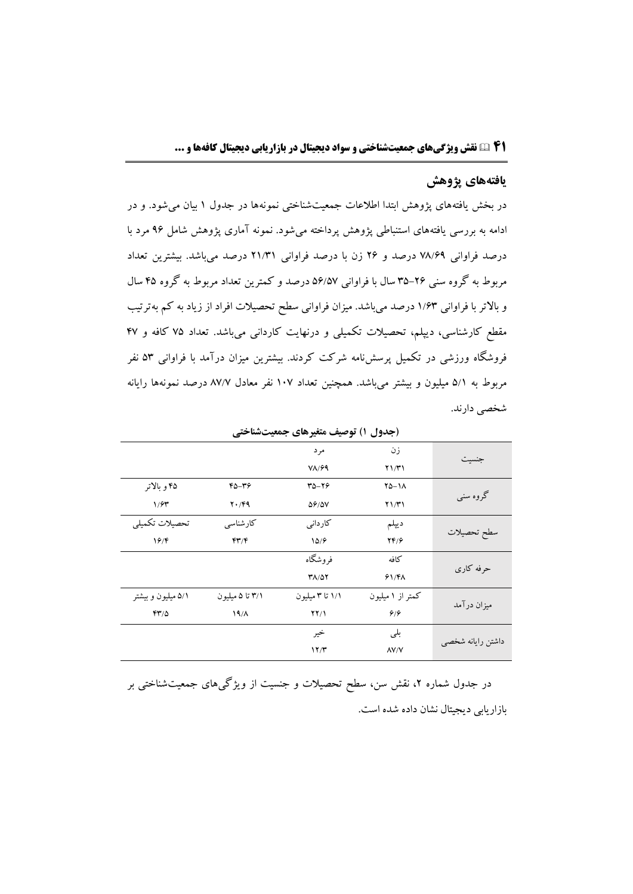#### **یافتههاي پژوهش**

در بخش یافتههای پژوهش ابتدا اطالعات جمعیتشناختی نمونهها در جدول 1 بیان میشود. و در ادامه به بررسی یافتههای استنباطی پژوهش پرداخته میشود. نمونه آماری پژوهش شامل 96 مرد با درصد فراوانی 78/69 درصد و 26 زن با درصد فراوانی 21/31 درصد میباشد. بیشترین تعداد مربوط به گروه سنی 35-26 سال با فراوانی 56/57 درصد و کمترین تعداد مربوط به گروه 45 سال و باالتر با فراوانی 1/63 درصد میباشد. میزان فراوانی سطح تحصیالت افراد از زیاد به کم بهترتیب مقطع کارشناسی، دیپلم، تحصیالت تکمیلی و درنهایت کاردانی میباشد. تعداد 75 کافه و 47 فروشگاه ورزشی در تکمیل پرسشنامه شرکت کردند. بیشترین میزان درآمد با فراوانی 53 نفر مربوط به 5/1 میلیون و بیشتر میباشد. همچنین تعداد 107 نفر معادل 87/7 درصد نمونهها رایانه شخصی دارند.

|                    | ັ                            | ⊸                    | <u>,</u> , , ,<br>$\cdot$ $\cdot$ |                   |  |
|--------------------|------------------------------|----------------------|-----------------------------------|-------------------|--|
|                    |                              | مرد                  | زن                                |                   |  |
|                    |                              | $V/\sqrt{2}9$        | Y1/T1                             | جنسيت             |  |
| ۴۵ و بالاتر        | 45-45                        | $40 - 19$            | $Y\Delta - Y\Delta$               |                   |  |
| 1/5                | $Y \cdot / F9$               | $\Delta \frac{6}{7}$ | $Y\frac{1}{T}$                    | گروه سنبي         |  |
| تحصيلات تكميلي     | كارشناسى                     | كاردانى              | ديبلم                             |                   |  |
| 19/F               | $f\uparrow\uparrow/\uparrow$ | 10/9                 | YF/F                              | سطح تحصيلات       |  |
|                    |                              | فروشگاه              | كافه                              |                   |  |
|                    |                              | <b>٣٨/٥٢</b>         | 91/F <sub>A</sub>                 | حرفه كارى         |  |
| ۵/۱ میلیون و بیشتر | ۳/۱ تا ۵ میلیون              | ۱/۱ تا ۳ میلیون      | کمتر از ۱ میلیون                  |                   |  |
| $YY/\Delta$        | $19/\lambda$                 | $YY/\lambda$         | 9/9                               | میزان درآمد       |  |
|                    |                              | خير                  | بلى                               |                   |  |
|                    |                              | 17/T                 | $\Lambda V/V$                     | داشتن رايانه شخصي |  |

**)جدول 1( توصیف متغیرهاي جمعیتشناختی**

در جدول شماره ۲، نقش سن، سطح تحصیلات و جنسیت از ویژگیهای جمعیتشناختی بر بازاریابی دیجیتال نشان داده شده است.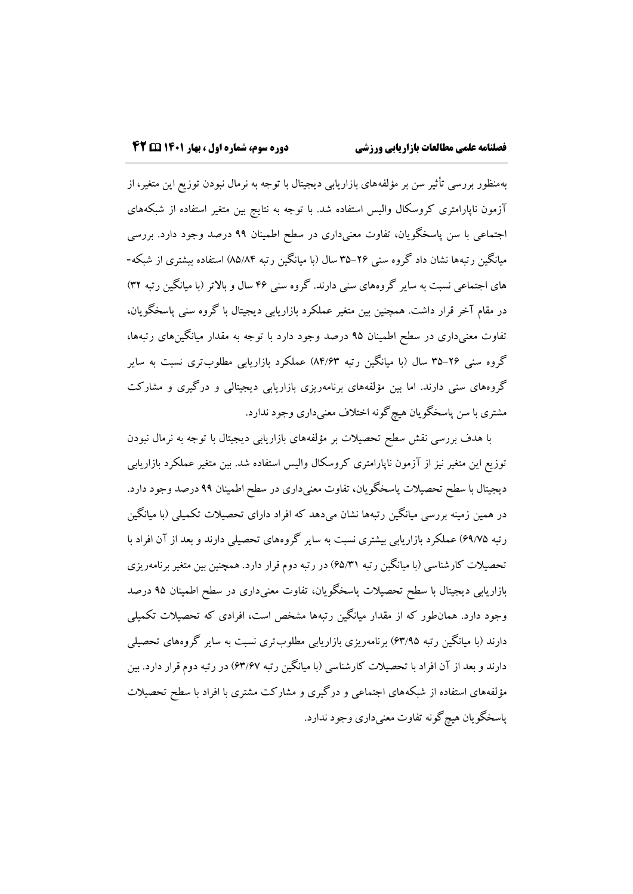بهمنظور بررسی تأثیر سن بر مؤلفههای بازاریابی دیجیتال با توجه به نرمال نبودن توزیع این متغیر، از آزمون ناپارامتری کروسکال والیس استفاده شد. با توجه به نتایج بین متغیر استفاده از شبکههای اجتماعی با سن پاسخگویان، تفاوت معنیداری در سطح اطمینان 99 درصد وجود دارد. بررسی میانگین رتبهها نشان داد گروه سنی 35-26 سال )با میانگین رتبه 85/84( استفاده بیشتری از شبکه- های اجتماعی نسبت به سایر گروههای سنی دارند. گروه سنی ۴۶ سال و بالاتر (با میانگین رتبه ۳۲) در مقام آخر قرار داشت. همچنین بین متغیر عملکرد بازاریابی دیجیتال با گروه سنی پاسخگویان، تفاوت معنیداری در سطح اطمینان 95 درصد وجود دارد با توجه به مقدار میانگینهای رتبهها، گروه سنی ۲۶-۳۵ سال (با میانگین رتبه ۸۴/۶۳) عملکرد بازاریابی مطلوبتری نسبت به سایر گروههای سنی دارند. اما بین مؤلفههای برنامهریزی بازاریابی دیجیتالی و درگیری و مشارکت مشتری با سن پاسخگویان هیچگونه اختالف معنیداری وجود ندارد.

با هدف بررسی نقش سطح تحصیالت بر مؤلفههای بازاریابی دیجیتال با توجه به نرمال نبودن توزیع این متغیر نیز از آزمون ناپارامتری کروسکال والیس استفاده شد. بین متغیر عملکرد بازاریابی دیجیتال با سطح تحصیالت پاسخگویان، تفاوت معنیداری در سطح اطمینان 99 درصد وجود دارد. در همین زمینه بررسی میانگین رتبهها نشان میدهد که افراد دارای تحصیالت تکمیلی )با میانگین رتبه 69/75( عملکرد بازاریابی بیشتری نسبت به سایر گروههای تحصیلی دارند و بعد از آن افراد با تحصیالت کارشناسی )با میانگین رتبه 65/31( در رتبه دوم قرار دارد. همچنین بین متغیر برنامهریزی بازاریابی دیجیتال با سطح تحصیالت پاسخگویان، تفاوت معنیداری در سطح اطمینان 95 درصد وجود دارد. همانطور که از مقدار میانگین رتبهها مشخص است، افرادی که تحصیالت تکمیلی دارند (با میانگین رتبه 6۳/۹۵) برنامهریزی بازاریابی مطلوبتری نسبت به سایر گروههای تحصیلی دارند و بعد از آن افراد با تحصیلات کارشناسی (با میانگین رتبه ۶۳/۶۷) در رتبه دوم قرار دارد. بین مؤلفههای استفاده از شبکههای اجتماعی و درگیری و مشارکت مشتری با افراد با سطح تحصیالت پاسخگویان هیچگونه تفاوت معنیداری وجود ندارد.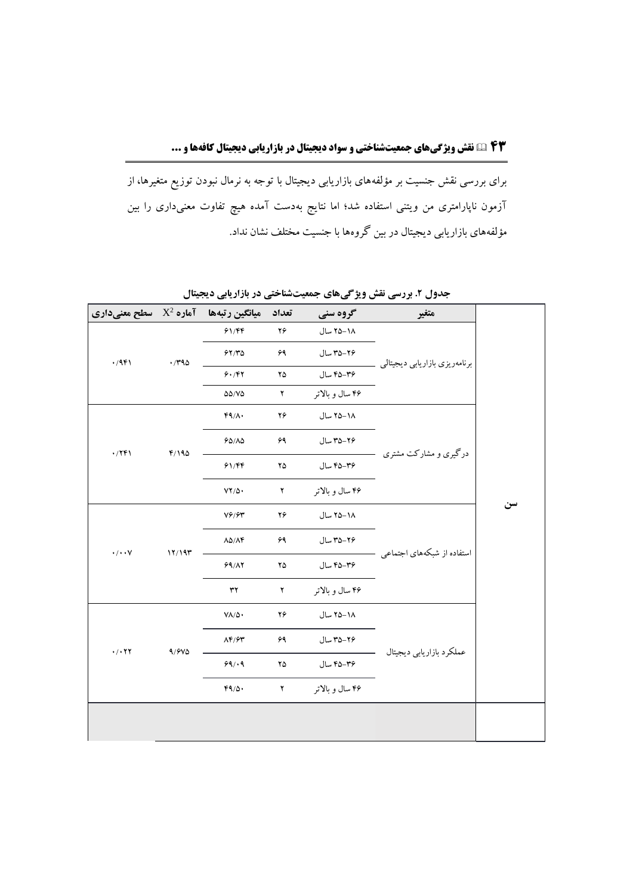## **۴3 نقش ویژگیهای جمعیتشناختی و سواد دیجیتال در بازاریابی دیجیتال کافهها و ...**

برای بررسی نقش جنسیت بر مؤلفههای بازاریابی دیجیتال با توجه به نرمال نبودن توزیع متغیرها، از آزمون ناپارامتری من ویتنی استفاده شد؛ اما نتایج بهدست آمده هیچ تفاوت معنیداری را بین مؤلفههای بازاریابی دیجیتال در بین گروهها با جنسیت مختلف نشان نداد.

| میانگین رتبهها آماره $\mathrm{X}^2$ سطح معنیداری |              |                                                  | تعداد              | گروه سنی        | متغير                         |    |
|--------------------------------------------------|--------------|--------------------------------------------------|--------------------|-----------------|-------------------------------|----|
| $\cdot$ /941                                     | $\cdot$ /۳۹۵ | 91/FF                                            | ۲۶                 | ١٨-٢۵ سال       | برنامهريزي بازاريابي ديجيتالي |    |
|                                                  |              | 57/70                                            | ۶۹                 | ٣۵-٣۵ سال       |                               |    |
|                                                  |              | 9.797                                            | ۲۵                 | ۴۵-۴۵ سال       |                               |    |
|                                                  |              | $\Delta\Delta/V\Delta$                           | $\mathbf Y$        | ۴۶ سال و بالاتر |                               |    |
| $\cdot$ /٢۴١                                     | F/190        | $FA/\Lambda$ .                                   | ۲۶                 | ١٨-٢۵ سال       |                               |    |
|                                                  |              | $90/\lambda$                                     | ۶۹                 | ٢۶-٣۵ سال       | درگیری و مشارکت مشتری         |    |
|                                                  |              | 91/FF                                            | ۲۵                 | ۴۵–۴۵ سال       |                               |    |
|                                                  |              | $YY/\Delta$                                      | $\pmb{\Upsilon}$   | ۴۶ سال و بالاتر |                               |    |
| $\cdot/\cdot\cdot$ Y                             | 17/19        | $V \hat{r}/\hat{r}$                              | ۲۶                 | ١٨-٢۵ سال       | استفاده از شبکههای اجتماعی    | سن |
|                                                  |              | $\lambda\Delta/\Lambda f$                        | ۶۹                 | ٢۶-٣۵ سال       |                               |    |
|                                                  |              | 99/17                                            | $\mathbf{Y}\Delta$ | ۴۵-۴۵ سال       |                               |    |
|                                                  |              | $\mathbf{r}$                                     | $\pmb{\Upsilon}$   | ۴۶ سال و بالاتر |                               |    |
| $\cdot$ / $\cdot$ $\tau$                         | 9/9V         | $\mathsf{V}\mathsf{A}/\mathsf{A}\cdot$           | ۲۶                 | ١٨-٢۵ سال       | عملكرد بازاريابي ديجيتال      |    |
|                                                  |              | $\Lambda \mathfrak{F}/\mathfrak{F} \mathfrak{r}$ | ۶۹                 | ٢۶-٣۵ سال       |                               |    |
|                                                  |              | 99/19                                            | ۲۵                 | ۴۵-۴۵ سال       |                               |    |
|                                                  |              | $FA/\Delta$ .                                    | $\Upsilon$         | ۴۶ سال و بالاتر |                               |    |
|                                                  |              |                                                  |                    |                 |                               |    |
|                                                  |              |                                                  |                    |                 |                               |    |

**جدول .2 بررسی نقش ویژگیهاي جمعیتشناختی در بازاریابی دیجیتال**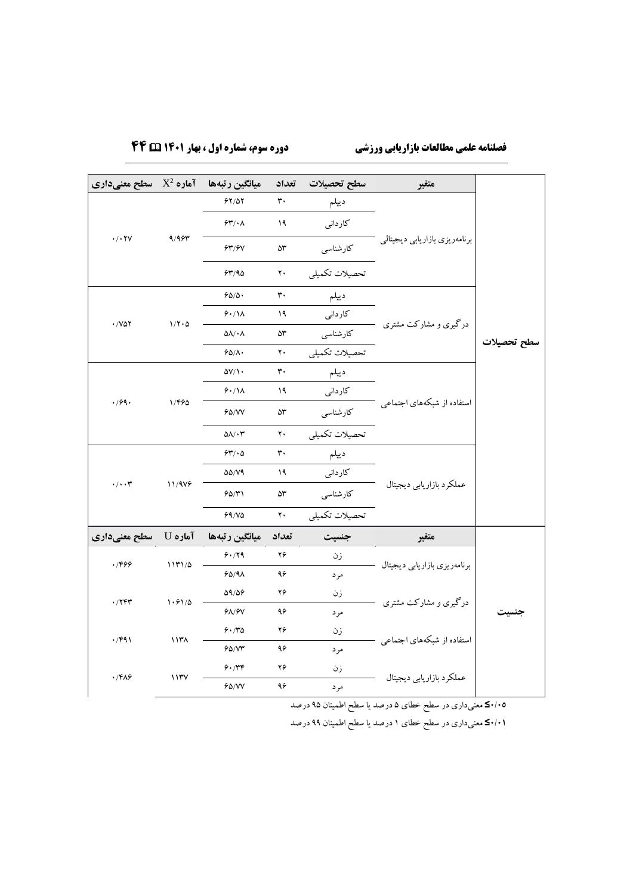# **فصلنامه علمی مطالعات بازاریابی ورزشی دوره سوم، شماره اول ، بهار 1۴۰1 ۴۴**

| میانگین رتبهها آماره $\mathrm{X}^2$ سطح معنیداری |        |                               |       | سطح تحصيلات تعداد | متغير                         |             |
|--------------------------------------------------|--------|-------------------------------|-------|-------------------|-------------------------------|-------------|
| $\cdot$ / $\cdot$ $\uparrow$ $\vee$              | 9/95   | 97/07                         | ٣٠    | ديبلم             |                               |             |
|                                                  |        | 54/11                         | ۱۹    | کاردانی           |                               |             |
|                                                  |        | 93/97                         | ۵٣    | كارشناسي          | برنامهريزي بازاريابي ديجيتالي |             |
|                                                  |        | 54/90                         | ۲۰    | تحصيلات تكميلي    |                               |             |
|                                                  |        | 90/0.                         | ٣٠    | ديبلم             |                               |             |
| $\cdot$ / $V\Delta Y$                            | 1/7.0  | 9.11                          | ۱۹    | کاردانی           | درگیری و مشارکت مشتری         |             |
|                                                  |        | $\Delta\Lambda/\star\Lambda$  | ۵٣    | كارشناسى          |                               | سطح تحصيلات |
|                                                  |        | $60/\lambda$                  | ٢٠    | تحصيلات تكميلي    |                               |             |
|                                                  |        | $\Delta V/\Lambda$            | ٣.    | ديبلم             |                               |             |
|                                                  |        | 9.11                          | ۱۹    | کاردانی           | استفاده از شبکههای اجتماعی    |             |
| .799.                                            | 1/490  | 60/VV                         | ۵٣    | كارشناسى          |                               |             |
|                                                  |        | $\Delta\Lambda/\cdot\Upsilon$ | ٢٠    | تحصيلات تكميلي    |                               |             |
|                                                  | 11/919 | 54/10                         | ٣٠    | ديبلم             | عملكرد بازاريابي ديجيتال      |             |
| $\cdot/\cdot\cdot$ ۳                             |        | <b>DD/V9</b>                  | ۱۹    | كاردانى           |                               |             |
|                                                  |        | 90/71                         | ۵٣    | كارشناسي          |                               |             |
|                                                  |        | $99/10$                       | ٢٠    | تحصيلات تكميلي    |                               |             |
| آمارہ U   سطح معنیداری                           |        | ميانگين رتبهها                | تعداد | جنسيت             | متغير                         |             |
| .7999                                            | 1171/0 | 9.79                          | ۲۶    | زن                | برنامهريزي بازاريابي ديجيتال  |             |
|                                                  |        | 60/9A                         | ۹۶    | مر د              |                               | جنسيت       |
| $\cdot$ /۲۴۳                                     | 1.91/0 | 09/06                         | ۲۶    | زن                | درگیری و مشارکت مشتری         |             |
|                                                  |        | 9A/9V                         | ۹۶    | مر د              |                               |             |
| $\cdot$ /۴۹۱                                     | ۱۱۳۸   | 9.70                          | ۲۶    | زن                | استفاده از شبکههای اجتماعی    |             |
|                                                  |        | 90/yr                         | ۹۶    | مرد               |                               |             |
| $\cdot$ /۴۸۶                                     |        | 9.74                          | ۲۶    | زن                | عملكرد بازاريابي ديجيتال      |             |
|                                                  | ۱۱۳۷   | 60/VV                         | ۹۶    | مرد               |                               |             |

**0/05≤** معنیداری در سطح خطای 5 درصد یا سطح اطمینان 95 درصد

**0/01≤** معنیداری در سطح خطای 1 درصد یا سطح اطمینان 99 درصد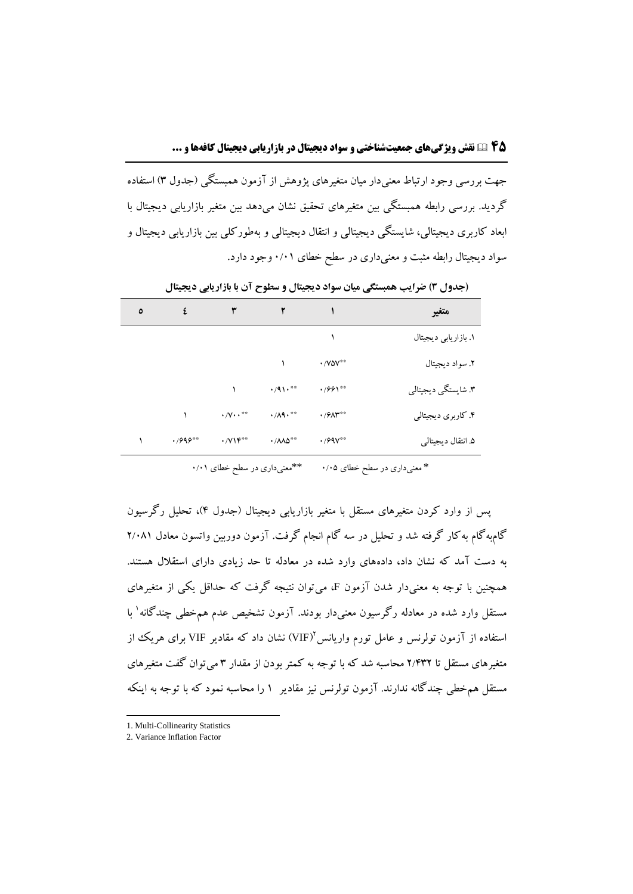جهت بررسی وجود ارتباط معنیدار میان متغیرهای پژوهش از آزمون همبستگی )جدول 3( استفاده گردید. بررسی رابطه همبستگی بین متغیرهای تحقیق نشان میدهد بین متغیر بازاریابی دیجیتال با ابعاد کاربری دیجیتالی، شایستگی دیجیتالی و انتقال دیجیتالی و بهطورکلی بین بازاریابی دیجیتال و سواد دیجیتال رابطه مثبت و معنیداری در سطح خطای 0/01 وجود دارد.

| ٥ | ٤          | ٣                                                | ۲                              |                            | متغير                |
|---|------------|--------------------------------------------------|--------------------------------|----------------------------|----------------------|
|   |            |                                                  |                                |                            | ١. بازاريابي ديجيتال |
|   |            |                                                  |                                | $\cdot$ / Y $\Delta V$ **  | ٢. سواد ديجيتال      |
|   |            |                                                  | $\cdot$ /91.**                 | $\cdot$ /991**             | ۳. شايستگي ديجيتالي  |
|   |            | $\cdot$ / $\cdot$ $\cdot$ **                     | $\cdot/\Lambda$ 9.**           | $\cdot$ / $9\Lambda$ $4\%$ | ۴. کاربري ديجيتالي   |
|   | $.7995***$ | $\cdot$ / $\gamma \uparrow \uparrow^{\ast \ast}$ | $\cdot$ / $\wedge\wedge\wedge$ | $\cdot$ / $99V***$         | ۵. انتقال ديجيتالي   |

**)جدول 3( ضرایب همبستگی میان سواد دیجیتال و سطوح آن با بازاریابی دیجیتال**

\* معنیداری در سطح خطای ۰/۰۵ \*\*\* \*\*معنیداری در سطح خطای ۰/۰۱

پس از وارد کردن متغیرهای مستقل با متغیر بازاریابی دیجیتال (جدول ۴)، تحلیل رگرسیون گامبهگام بهکار گرفته شد و تحلیل در سه گام انجام گرفت. آزمون دوربین واتسون معادل 2/081 به دست آمد که نشان داد، دادههای وارد شده در معادله تا حد زیادی دارای استقالل هستند. همچنین با توجه به معنیدار شدن آزمون F، میتوان نتیجه گرفت که حداقل یکی از متغیرهای مستقل وارد شده در معادله رگرسیون معنیدار بودند. آزمون تشخیص عدم همخطی چندگانه<sup>۱</sup> با ستفاده از آزمون تولرنس و عامل تورم واریانس'(VIF) نشان داد که مقادیر VIF برای هریک از متغیرهای مستقل تا 2/432 محاسبه شد که با توجه به کمتر بودن از مقدار 3 میتوان گفت متغیرهای مستقل همخطی چندگانه ندارند. آزمون تولرنس نیز مقادیر 1 را محاسبه نمود که با توجه به اینکه

l

<sup>1.</sup> Multi-Collinearity Statistics

<sup>2.</sup> Variance Inflation Factor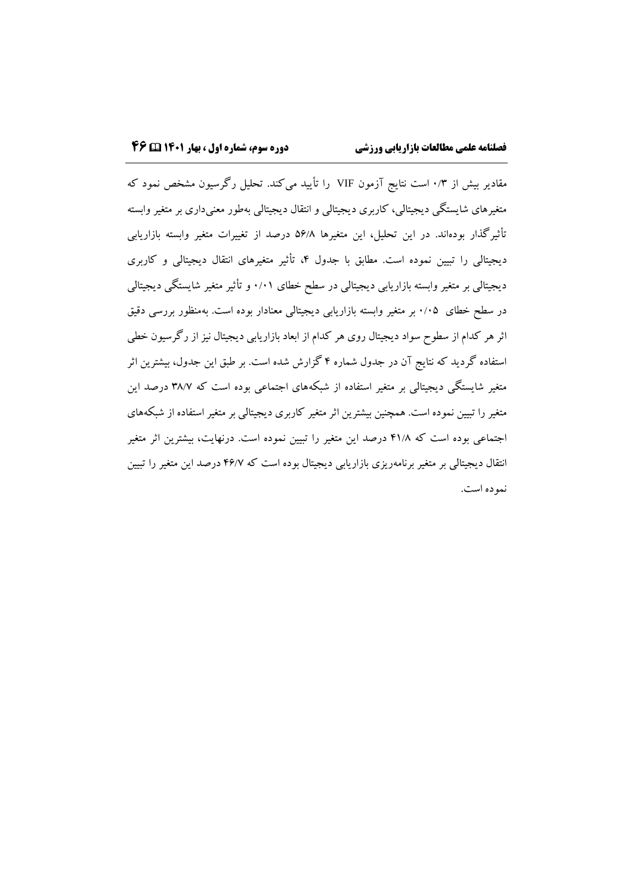مقادیر بیش از 0/3 است نتایج آزمون VIF را تأیید میکند. تحلیل رگرسیون مشخص نمود که متغیرهای شایستگی دیجیتالی، کاربری دیجیتالی و انتقال دیجیتالی بهطور معنیداری بر متغیر وابسته تأثیرگذار بودهاند. در این تحلیل، این متغیرها 56/8 درصد از تغییرات متغیر وابسته بازاریابی دیجیتالی را تبیین نموده است. مطابق با جدول ۴، تأثیر متغیرهای انتقال دیجیتالی و کاربری دیجیتالی بر متغیر وابسته بازاریابی دیجیتالی در سطح خطای 0/01 و تأثیر متغیر شایستگی دیجیتالی در سطح خطای 0/05 بر متغیر وابسته بازاریابی دیجیتالی معنادار بوده است. بهمنظور بررسی دقیق اثر هر کدام از سطوح سواد دیجیتال روی هر کدام از ابعاد بازاریابی دیجیتال نیز از رگرسیون خطی استفاده گردید که نتایج آن در جدول شماره 4 گزارش شده است. بر طبق این جدول، بیشترین اثر متغیر شایستگی دیجیتالی بر متغیر استفاده از شبکههای اجتماعی بوده است که 38/7 درصد این متغیر را تبیین نموده است. همچنین بیشترین اثر متغیر کاربری دیجیتالی بر متغیر استفاده از شبکههای اجتماعی بوده است که 41/8 درصد این متغیر را تبیین نموده است. درنهایت، بیشترین اثر متغیر انتقال دیجیتالی بر متغیر برنامهریزی بازاریابی دیجیتال بوده است که 46/7 درصد این متغیر را تبیین نموده است.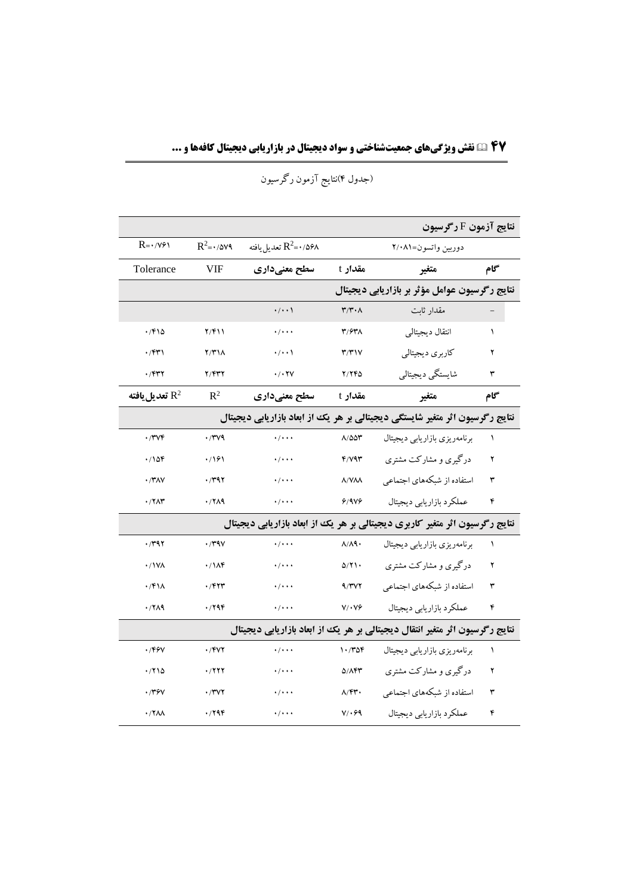**۴7 نقش ویژگیهای جمعیتشناختی و سواد دیجیتال در بازاریابی دیجیتال کافهها و ...**

|                                                                             |                            |                                   |                                        | نتايج آزمون F رگرسيون                                                        |           |  |  |  |
|-----------------------------------------------------------------------------|----------------------------|-----------------------------------|----------------------------------------|------------------------------------------------------------------------------|-----------|--|--|--|
| $R = \cdot / \sqrt{9}$                                                      | $R^2 = \cdot / \Delta V$ ۹ | تعديل يافته $\mathrm{R}^2$ =۰/۵۶۸ |                                        | دوربين واتسون=٢/٠٨١                                                          |           |  |  |  |
| Tolerance                                                                   | <b>VIF</b>                 | سطح معنیداری                      | مقدار t                                | متغير                                                                        | گام       |  |  |  |
|                                                                             |                            |                                   |                                        | نتایج رگرسیون عوامل مؤثر بر بازاریابی دیجیتال                                |           |  |  |  |
|                                                                             |                            | $\cdot/\cdot\cdot$                | $\mathbf{r}/\mathbf{r}\cdot\mathbf{A}$ | مقدار ثابت                                                                   |           |  |  |  |
| .7810                                                                       | 7/۴۱۱                      | $\cdot$ / $\cdot$ $\cdot$         | ۳/۶۳۸                                  | انتقال ديجيتالي                                                              | $\lambda$ |  |  |  |
| $\cdot$ /۴۳۱                                                                | Y/Y                        | $\cdot/\cdot\cdot$                | T/T                                    | كاربري ديجيتالي                                                              | ۲         |  |  |  |
| $\cdot$ $/$ ۴۳۲                                                             | 7/۴۳۲                      | . / . YV                          | <b>Y/YFD</b>                           | شايستگي ديجيتالي                                                             | ٣         |  |  |  |
| تعديل يافته $\mathrm{R}^2$                                                  | $\mathbb{R}^2$             | سطح معنیداری                      | مقدار t                                | متغير                                                                        | گام       |  |  |  |
|                                                                             |                            |                                   |                                        | نتایج رگرسیون اثر متغیر شایستگی دیجیتالی بر هر یک از ابعاد بازاریابی دیجیتال |           |  |  |  |
| $\cdot$ /۳۷۴                                                                | $\cdot$ /۳۷۹               | $\cdot$ / $\cdot$ $\cdot$         | $\Lambda/\Delta\Delta\Upsilon$         | برنامەريزى بازاريابى ديجيتال                                                 | ١         |  |  |  |
| .708                                                                        | .791                       | $\cdot$ / $\cdot$ $\cdot$         | $F/Y$ ۹۳                               | درگیری و مشارکت مشتری                                                        | ۲         |  |  |  |
| $\cdot$ /۳۸۷                                                                | .791                       | $\cdot$ / $\cdot$ $\cdot$         | <b>A/VAA</b>                           | استفاده از شبکههای اجتماعی                                                   | ٣         |  |  |  |
| $\cdot$ /٢ $\wedge$ ۳                                                       | .77A9                      | $\cdot$ / $\cdot$ $\cdot$         | 9/9V9                                  | عملكرد بازاريابي ديجيتال                                                     | ۴         |  |  |  |
|                                                                             |                            |                                   |                                        | نتایج رگرسیون اثر متغیر کاربری دیجیتالی بر هر یک از ابعاد بازاریابی دیجیتال  |           |  |  |  |
| .791                                                                        | $\cdot$ /۳۹۷               | $\cdot$ / $\cdot$ $\cdot$         | $\lambda/\lambda$ ٩٠                   | برنامهريزي بازاريابي ديجيتال                                                 | $\lambda$ |  |  |  |
| $\cdot$ / ۱ V $\wedge$                                                      | $\cdot$ / $\Lambda$ ۴      | $\cdot$ / $\cdot$ $\cdot$         | 0/Y                                    | درگیری و مشارکت مشتری                                                        | ۲         |  |  |  |
| $\cdot$ /۴۱۸                                                                | $\cdot$ $/$ ۴۲۳            | $\cdot$ / $\cdot$ $\cdot$         | 9/7V                                   | استفاده از شبکههای اجتماعی                                                   | ٣         |  |  |  |
| .77A9                                                                       | .799                       | $\cdot$ / $\cdot$ $\cdot$         | $V/\cdot V$                            | عملكرد بازاريابي ديجيتال                                                     | ۴         |  |  |  |
| نتایج رگرسیون اثر متغیر انتقال دیجیتالی بر هر یک از ابعاد بازاریابی دیجیتال |                            |                                   |                                        |                                                                              |           |  |  |  |
| $\cdot$ /۴۶۷                                                                | $\cdot$ /۴۷۲               | $\cdot$ / $\cdot$ $\cdot$         | 1.708                                  | برنامهريزي بازاريابي ديجيتال                                                 | $\lambda$ |  |  |  |
| .710                                                                        | ۰/۲۲۲                      | $\cdot$ / $\cdot$ $\cdot$         | <b>D/147</b>                           | درگیری و مشارکت مشتری                                                        | ۲         |  |  |  |
| .779V                                                                       | .77Y                       | $\cdot$ / $\cdot$ $\cdot$         | $\Lambda$ /۴۳.                         | استفاده از شبکههای اجتماعی                                                   | ٣         |  |  |  |
| ٠/٢٨٨                                                                       | ۰/۲۹۴                      | $\cdot$ / $\cdot$ $\cdot$         | $V/\cdot 99$                           | عملكرد بازاريابي ديجيتال                                                     | ۴         |  |  |  |

)جدول 4(نتایج آزمون رگرسیون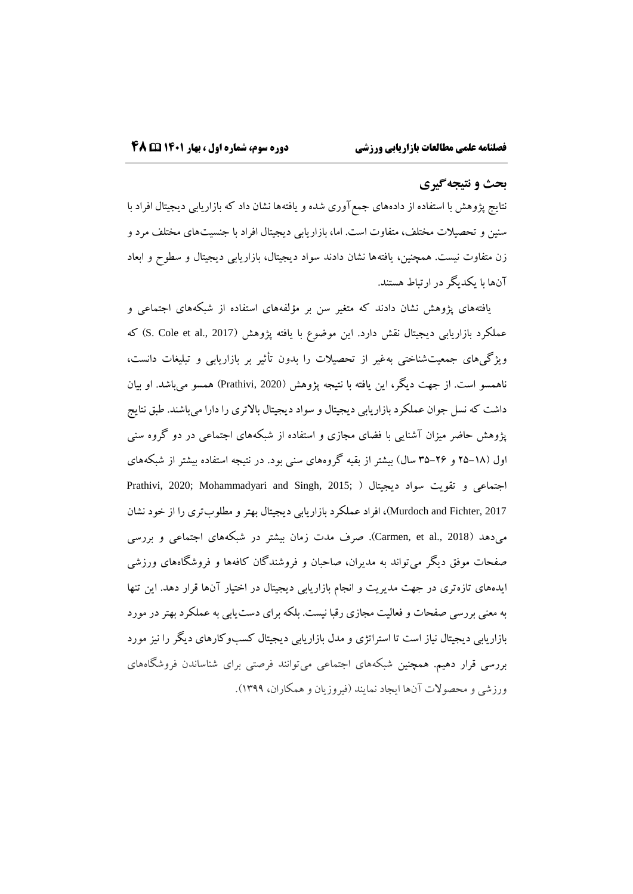## **بحث و نتیجهگیري**

نتایج پژوهش با استفاده از دادههای جمعآوری شده و یافتهها نشان داد که بازاریابی دیجیتال افراد با سنین و تحصیالت مختلف، متفاوت است. اما، بازاریابی دیجیتال افراد با جنسیتهای مختلف مرد و زن متفاوت نیست. همچنین، یافتهها نشان دادند سواد دیجیتال، بازاریابی دیجیتال و سطوح و ابعاد آنها با یکدیگر در ارتباط هستند.

یافتههای پژوهش نشان دادند که متغیر سن بر مؤلفههای استفاده از شبکههای اجتماعی و عملکرد بازاریابی دیجیتال نقش دارد. این موضوع با یافته پژوهش (S. Cole et al., 2017) که ویژگیهای جمعیتشناختی بهغیر از تحصیالت را بدون تأثیر بر بازاریابی و تبلیغات دانست، ناهمسو است. از جهت دیگر، این یافته با نتیجه پژوهش )2020 ,Prathivi )همسو میباشد. او بیان داشت که نسل جوان عملکرد بازاریابی دیجیتال و سواد دیجیتال بالاتری را دارا میباشند. طبق نتایج پژوهش حاضر میزان آشنایی با فضای مجازی و استفاده از شبکههای اجتماعی در دو گروه سنی اول )25-18 و 35-26 سال( بیشتر از بقیه گروههای سنی بود. در نتیجه استفاده بیشتر از شبکههای اجتماعی و تقویت سواد دیجیتال ) ;2015 ,Singh and Mohammadyari; 2020 ,Prathivi 2017 ,Fichter and Murdoch)، افراد عملکرد بازاریابی دیجیتال بهتر و مطلوبتری را از خود نشان میدهد )2018 .,al et ,Carmen). صرف مدت زمان بیشتر در شبکههای اجتماعی و بررسی صفحات موفق دیگر میتواند به مدیران، صاحبان و فروشندگان کافهها و فروشگاههای ورزشی ایدههای تازهتری در جهت مدیریت و انجام بازاریابی دیجیتال در اختیار آنها قرار دهد. این تنها به معنی بررسی صفحات و فعالیت مجازی رقبا نیست. بلکه برای دستیابی به عملکرد بهتر در مورد بازاریابی دیجیتال نیاز است تا استراتژی و مدل بازاریابی دیجیتال کسبوکارهای دیگر را نیز مورد بررسی قرار دهیم. همچنین شبکههای اجتماعی میتوانند فرصتی برای شناساندن فروشگاههای ورزشی و محصوالت آنها ایجاد نمایند )فیروزیان و همکاران، 1399(.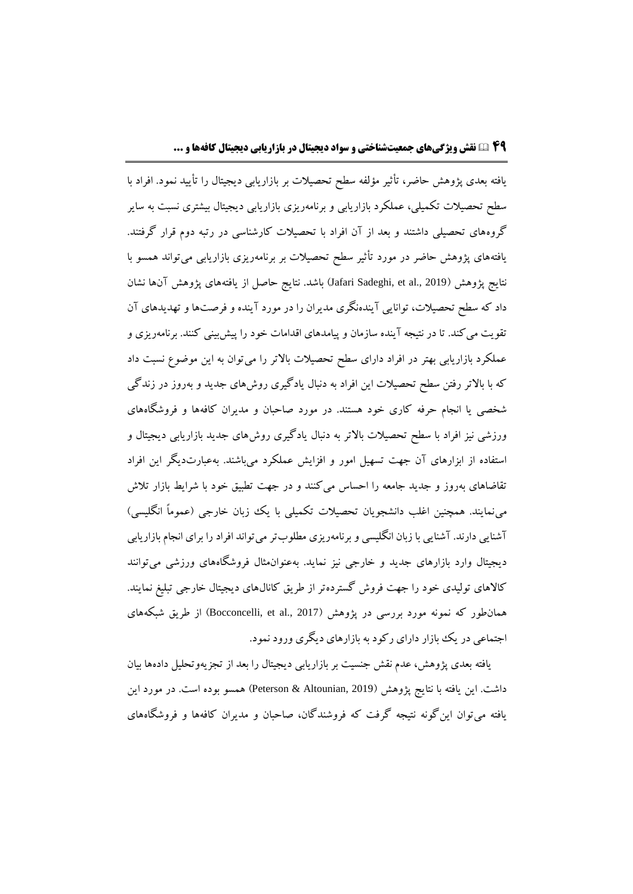یافته بعدی پژوهش حاضر، تأثیر مؤلفه سطح تحصیالت بر بازاریابی دیجیتال را تأیید نمود. افراد با سطح تحصیالت تکمیلی، عملکرد بازاریابی و برنامهریزی بازاریابی دیجیتال بیشتری نسبت به سایر گروههای تحصیلی داشتند و بعد از آن افراد با تحصیالت کارشناسی در رتبه دوم قرار گرفتند. یافتههای پژوهش حاضر در مورد تأثیر سطح تحصیالت بر برنامهریزی بازاریابی میتواند همسو با نتایج پژوهش (Jafari Sadeghi, et al., 2019) باشد. نتایج حاصل از یافتههای پژوهش آنها نشان داد که سطح تحصیالت، توانایی آیندهنگری مدیران را در مورد آینده و فرصتها و تهدیدهای آن تقویت میکند. تا در نتیجه آینده سازمان و پیامدهای اقدامات خود را پیشبینی کنند. برنامهریزی و عملکرد بازاریابی بهتر در افراد دارای سطح تحصیالت باالتر را میتوان به این موضوع نسبت داد که با باالتر رفتن سطح تحصیالت این افراد به دنبال یادگیری روشهای جدید و بهروز در زندگی شخصی یا انجام حرفه کاری خود هستند. در مورد صاحبان و مدیران کافهها و فروشگاههای ورزشی نیز افراد با سطح تحصیلات بالاتر به دنبال یادگیری روشهای جدید بازاریابی دیجیتال و استفاده از ابزارهای آن جهت تسهیل امور و افزایش عملکرد میباشند. بهعبارتدیگر این افراد تقاضاهای بهروز و جدید جامعه را احساس میکنند و در جهت تطبیق خود با شرایط بازار تالش مینمایند. همچنین اغلب دانشجویان تحصیلات تکمیلی با یک زبان خارجی (عموماً انگلیسی) آشنایی دارند. آشنایی با زبان انگلیسی و برنامهریزی مطلوبتر میتواند افراد را برای انجام بازاریابی دیجیتال وارد بازارهای جدید و خارجی نیز نماید. بهعنوانمثال فروشگاههای ورزشی میتوانند کاالهای تولیدی خود را جهت فروش گستردهتر از طریق کانالهای دیجیتال خارجی تبلیغ نمایند. همانطور که نمونه مورد بررسی در پژوهش (Bocconcelli, et al., 2017) از طریق شبکههای اجتماعی در یک بازار دارای رکود به بازارهای دیگری ورود نمود.

یافته بعدی پژوهش، عدم نقش جنسیت بر بازاریابی دیجیتال را بعد از تجزیهوتحلیل دادهها بیان داشت. این یافته با نتایج پژوهش )2019 ,Altounian & Peterson )همسو بوده است. در مورد این یافته میتوان اینگونه نتیجه گرفت که فروشندگان، صاحبان و مدیران کافهها و فروشگاههای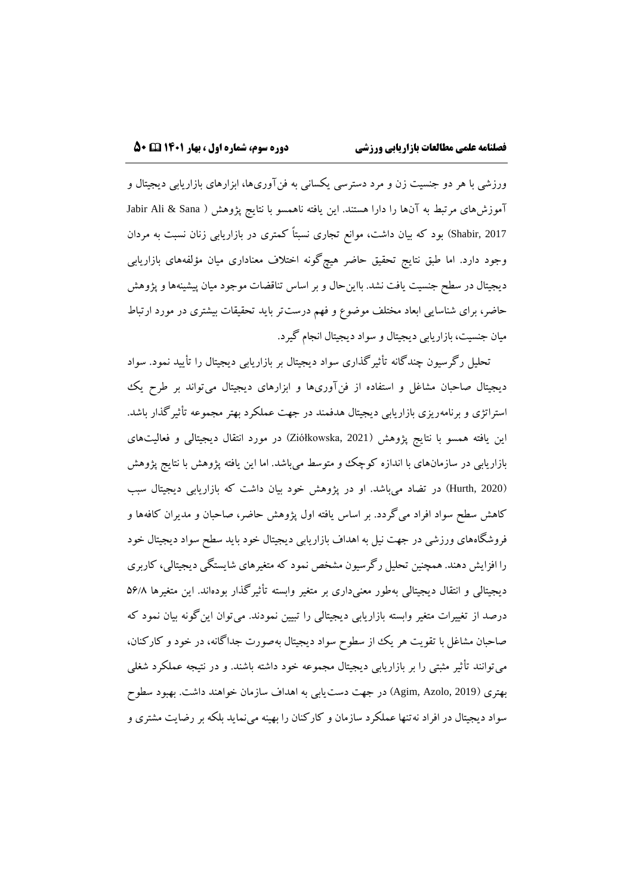ورزشی با هر دو جنسیت زن و مرد دسترسی یکسانی به فنآوریها، ابزارهای بازاریابی دیجیتال و آموزشهای مرتبط به آنها را دارا هستند. این یافته ناهمسو با نتایج پژوهش ) Sana & Ali Jabir 2017 ,Shabir )بود که بیان داشت، موانع تجاری نسبتاً کمتری در بازاریابی زنان نسبت به مردان وجود دارد. اما طبق نتایج تحقیق حاضر هیچگونه اختالف معناداری میان مؤلفههای بازاریابی دیجیتال در سطح جنسیت یافت نشد. بااینحال و بر اساس تناقضات موجود میان پیشینهها و پژوهش حاضر، برای شناسایی ابعاد مختلف موضوع و فهم درستتر باید تحقیقات بیشتری در مورد ارتباط میان جنسیت، بازاریابی دیجیتال و سواد دیجیتال انجام گیرد.

تحلیل رگرسیون چندگانه تأثیرگذاری سواد دیجیتال بر بازاریابی دیجیتال را تأیید نمود. سواد دیجیتال صاحبان مشاغل و استفاده از فنآوریها و ابزارهای دیجیتال میتواند بر طرح یک استراتژی و برنامهریزی بازاریابی دیجیتال هدفمند در جهت عملکرد بهتر مجموعه تأثیرگذار باشد. این یافته همسو با نتایج پژوهش )2021 ,Ziółkowska )در مورد انتقال دیجیتالی و فعالیتهای بازاریابی در سازمانهای با اندازه کوچک و متوسط میباشد. اما این یافته پژوهش با نتایج پژوهش )2020 ,Hurth )در تضاد میباشد. او در پژوهش خود بیان داشت که بازاریابی دیجیتال سبب کاهش سطح سواد افراد میگردد. بر اساس یافته اول پژوهش حاضر، صاحبان و مدیران کافهها و فروشگاههای ورزشی در جهت نیل به اهداف بازاریابی دیجیتال خود باید سطح سواد دیجیتال خود را افزایش دهند. همچنین تحلیل رگرسیون مشخص نمود که متغیرهای شایستگی دیجیتالی، کاربری دیجیتالی و انتقال دیجیتالی بهطور معنیداری بر متغیر وابسته تأثیرگذار بودهاند. این متغیرها 56/8 درصد از تغییرات متغیر وابسته بازاریابی دیجیتالی را تبیین نمودند. میتوان اینگونه بیان نمود که صاحبان مشاغل با تقویت هر یک از سطوح سواد دیجیتال بهصورت جداگانه، در خود و کارکنان، میتوانند تأثیر مثبتی را بر بازاریابی دیجیتال مجموعه خود داشته باشند. و در نتیجه عملکرد شغلی بهتری )2019 ,Azolo ,Agim )در جهت دستیابی به اهداف سازمان خواهند داشت. بهبود سطوح سواد دیجیتال در افراد نهتنها عملکرد سازمان و کارکنان را بهینه مینماید بلکه بر رضایت مشتری و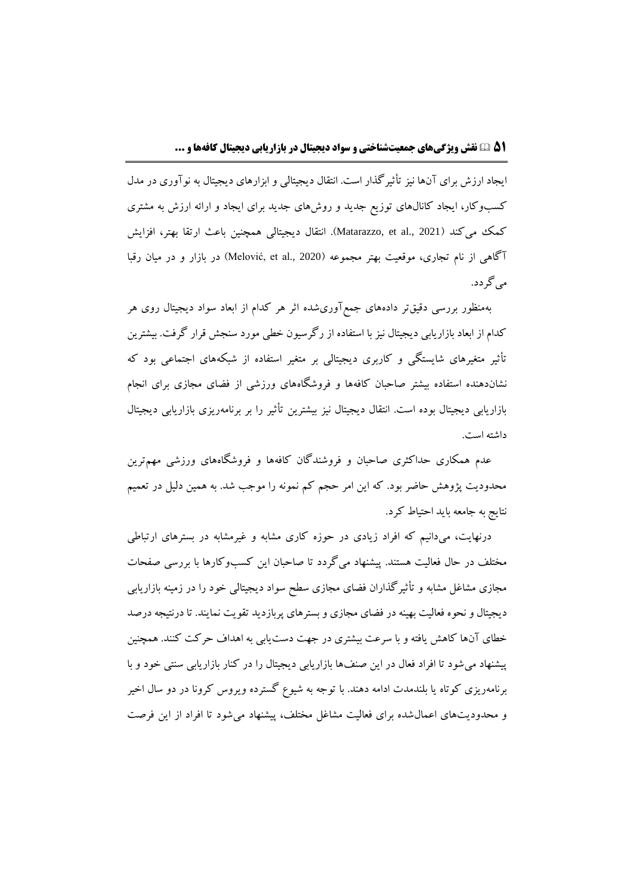ایجاد ارزش برای آنها نیز تأثیرگذار است. انتقال دیجیتالی و ابزارهای دیجیتال به نوآوری در مدل کسبوکار، ایجاد کانالهای توزیع جدید و روشهای جدید برای ایجاد و ارائه ارزش به مشتری کمک میکند (Matarazzo, et al., 2021). انتقال دیجیتالی همچنین باعث ارتقا بهتر، افزایش آگاهی از نام تجاری، موقعیت بهتر مجموعه )2020 .,al et ,Melović )در بازار و در میان رقبا میگردد.

بهمنظور بررسی دقیقتر دادههای جمعآوریشده اثر هر کدام از ابعاد سواد دیجیتال روی هر کدام از ابعاد بازاریابی دیجیتال نیز با استفاده از رگرسیون خطی مورد سنجش قرار گرفت. بیشترین تأثیر متغیرهای شایستگی و کاربری دیجیتالی بر متغیر استفاده از شبکههای اجتماعی بود که نشاندهنده استفاده بیشتر صاحبان کافهها و فروشگاههای ورزشی از فضای مجازی برای انجام بازاریابی دیجیتال بوده است. انتقال دیجیتال نیز بیشترین تأثیر را بر برنامهریزی بازاریابی دیجیتال داشته است.

عدم همکاری حداکثری صاحبان و فروشندگان کافهها و فروشگاههای ورزشی مهمترین محدودیت پژوهش حاضر بود. که این امر حجم کم نمونه را موجب شد. به همین دلیل در تعمیم نتایج به جامعه باید احتیاط کرد.

درنهایت، میدانیم که افراد زیادی در حوزه کاری مشابه و غیرمشابه در بسترهای ارتباطی مختلف در حال فعالیت هستند. پیشنهاد میگردد تا صاحبان این کسبوکارها با بررسی صفحات مجازی مشاغل مشابه و تأثیرگذاران فضای مجازی سطح سواد دیجیتالی خود را در زمینه بازاریابی دیجیتال و نحوه فعالیت بهینه در فضای مجازی و بسترهای پربازدید تقویت نمایند. تا درنتیجه درصد خطای آنها کاهش یافته و با سرعت بیشتری در جهت دستیابی به اهداف حرکت کنند. همچنین پیشنهاد میشود تا افراد فعال در این صنفها بازاریابی دیجیتال را در کنار بازاریابی سنتی خود و با برنامهریزی کوتاه یا بلندمدت ادامه دهند. با توجه به شیوع گسترده ویروس کرونا در دو سال اخیر و محدودیتهای اعمالشده برای فعالیت مشاغل مختلف، پیشنهاد میشود تا افراد از این فرصت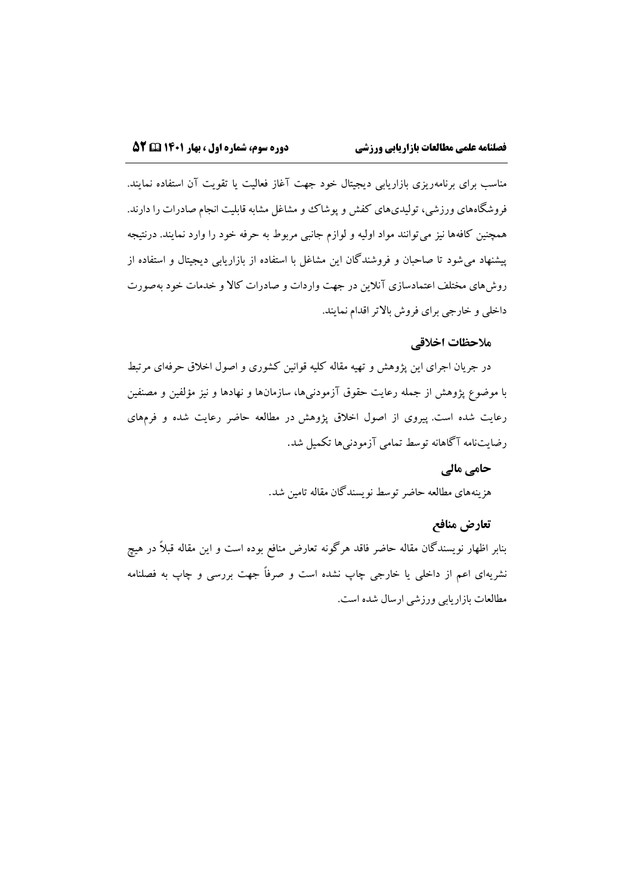مناسب برای برنامهریزی بازاریابی دیجیتال خود جهت آغاز فعالیت یا تقویت آن استفاده نمایند. فروشگاههای ورزشی، تولیدیهای کفش و پوشاک وو مشاغل مشابه قابلیت انجام صادرات را دارند. همچنین کافهها نیز میتوانند مواد اولیه و لوازم جانبی مربوط به حرفه خود را وارد نمایند. درنتیجه پیشنهاد میشود تا صاحبان و فروشندگان این مشاغل با استفاده از بازاریابی دیجیتال و استفاده از روشهای مختلف اعتمادسازی آنالین در جهت واردات و صادرات کاال و خدمات خود بهصورت داخلی و خارجی برای فروش باالتر اقدام نمایند.

## **مالحظات اخالقی**

در جریان اجرای این پژوهش و تهیه مقاله کلیه قوانین کشوری و اصول اخالق حرفهای مرتبط با موضوع پژوهش از جمله رعایت حقوق آزمودنیها، سازمانها و نهادها و نیز مؤلفین و مصنفین رعایت شده است. پیروی از اصول اخالق پژوهش در مطالعه حاضر رعایت شده و فرمهای رضایتنامه آگاهانه توسط تمامی آزمودنیها تکمیل شد.

## **حامی مالی**

هزینههای مطالعه حاضر توسط نویسندگان مقاله تامین شد.

#### **تعارض منافع**

بنابر اظهار نویسندگان مقاله حاضر فاقد هرگونه تعارض منافع بوده است و این مقاله قبالً در هیچ نشریهای اعم از داخلی یا خارجی چاپ نشده است و صرفاً جهت بررسی و چاپ به فصلنامه مطالعات بازاریابی ورزشی ارسال شده است.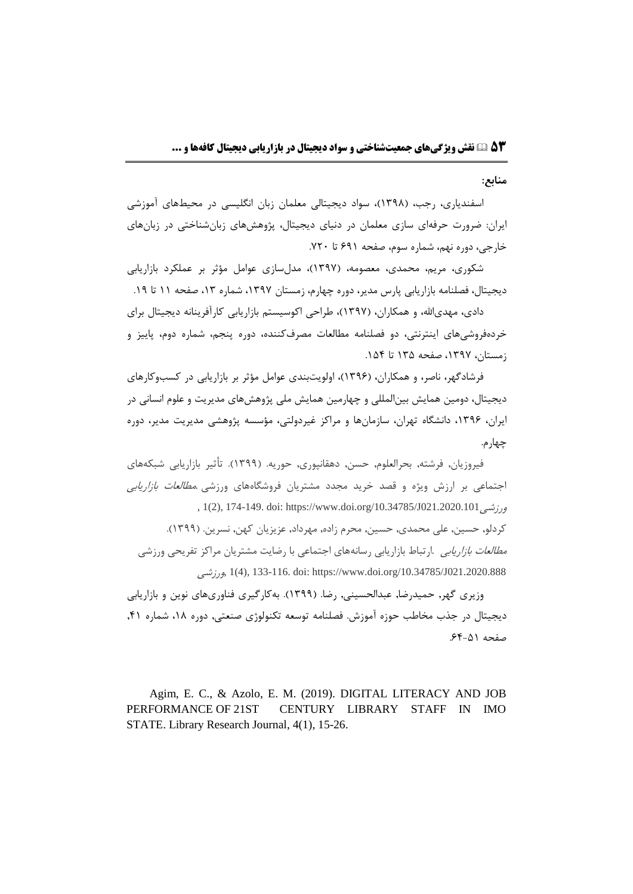**منابع:**

اسفندیاری، رجب، (۱۳۹۸)، سواد دیجیتالی معلمان زبان انگلیسی در محیطهای آموزشی ایران: ضرورت حرفهای سازی معلمان در دنيای دیجيتال، پژوهشهای زبانشناختی در زبانهای خارجی، دوره نهم، شماره سوم، صفحه 6۹۱ تا .7۲۰

شکوری، مریم، محمدی، معصومه، )۱۳۹7(، مدلسازی عوامل مؤثر بر عملکرد بازاریابی دیجیتال، فصلنامه بازاریابی پارس مدیر، دوره چهارم، زمستان ۱۳۹۷، شماره ۱۳، صفحه ۱۱ تا ۱۹.

دادی، مهدیالله، و همکاران، (۱۳۹۷)، طراحی اکوسیستم بازاریابی کارآفرینانه دیجیتال برای خردهفروشیهای اینترنتی، دو فصلنامه مطالعات مصرفکننده، دوره پنجم، شماره دوم، پایيز و زمستان، ،۱۳۹7 صفحه ۱۳5 تا .۱5۴

فرشادگهر، ناصر، و همکاران، )۱۳۹6(، اولویتبندی عوامل مؤثر بر بازاریابی در کسبوکارهای دیجيتال، دومين همایش بينالمللی و چهارمين همایش ملی پژوهشهای مدیریت و علوم انسانی در ایران، ،۱۳۹6 دانشگاه تهران، سازمانها و مراکز غيردولتی، مؤسسه پژوهشی مدیریت مدیر، دوره چهارم.

فيروزیان, فرشته, بحرالعلوم, حسن, دهقانپوری, حوریه. )۱۳۹۹(. تأثير بازاریابی شبکههای اجتماعی بر ارزش ویژه و قصد خرید مجدد مشتریان فروشگاههای ورزشی .مطالعات بازاریابی , 1(2), 174-149. doi: https://www.doi.org/10.34785/J021.2020.101ورزشی کردلو, حسين, علی محمدی, حسين, محرم زاده, مهرداد, عزیزیان کهن, نسرین. )۱۳۹۹(. *مطالعات بازاریابی* .ارتباط بازاریابی رسانههای اجتماعی با رضایت مشتریان مراکز تفریحی ورزشی ورزشی, 1)4(, 133-116. doi: https://www.doi.org/10.34785/J021.2020.888

وزیری گهر, حميدرضا, عبدالحسينی, رضا. )۱۳۹۹(. بهکارگيری فناوریهای نوین و بازاریابی دیجيتال در جذب مخاطب حوزه آموزش. فصلنامه توسعه تکنولوژی صنعتی, دوره ،۱8 شماره ,۴۱ صفحه .6۴-5۱

Agim, E. C., & Azolo, E. M. (2019). DIGITAL LITERACY AND JOB PERFORMANCE OF 21ST CENTURY LIBRARY STAFF IN IMO STATE. Library Research Journal, 4(1), 15-26.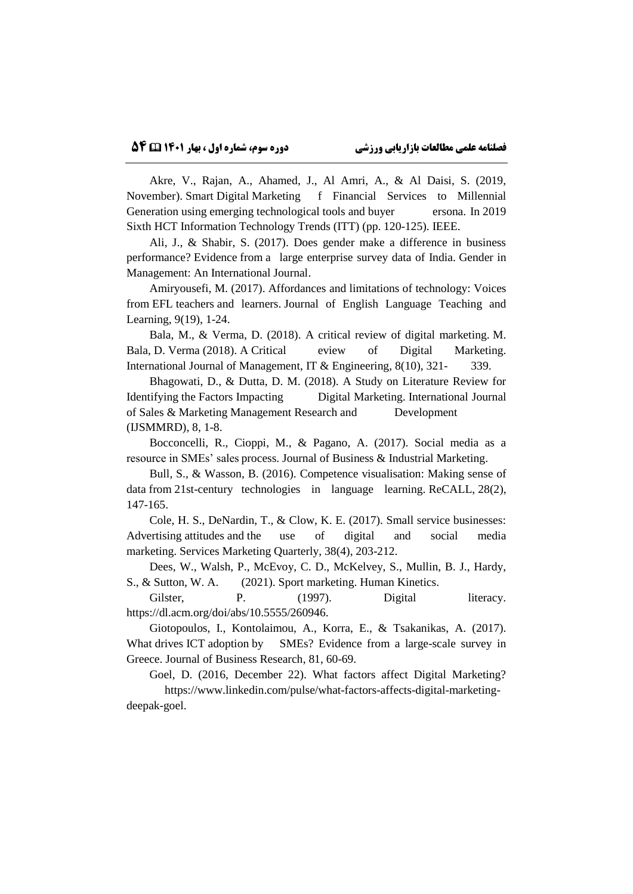Akre, V., Rajan, A., Ahamed, J., Al Amri, A., & Al Daisi, S. (2019, November). Smart Digital Marketing f Financial Services to Millennial Generation using emerging technological tools and buyer ersona. In 2019 Sixth HCT Information Technology Trends (ITT) (pp. 120-125). IEEE.

Ali, J., & Shabir, S. (2017). Does gender make a difference in business performance? Evidence from a large enterprise survey data of India. Gender in Management: An International Journal.

Amiryousefi, M. (2017). Affordances and limitations of technology: Voices from EFL teachers and learners. Journal of English Language Teaching and Learning, 9(19), 1-24.

Bala, M., & Verma, D. (2018). A critical review of digital marketing. M. Bala, D. Verma (2018). A Critical eview of Digital Marketing. International Journal of Management, IT & Engineering, 8(10), 321- 339.

Bhagowati, D., & Dutta, D. M. (2018). A Study on Literature Review for Identifying the Factors Impacting Digital Marketing. International Journal of Sales & Marketing Management Research and Development (IJSMMRD), 8, 1-8.

Bocconcelli, R., Cioppi, M., & Pagano, A. (2017). Social media as a resource in SMEs' sales process. Journal of Business & Industrial Marketing.

Bull, S., & Wasson, B. (2016). Competence visualisation: Making sense of data from 21st-century technologies in language learning. ReCALL, 28(2), 147-165.

Cole, H. S., DeNardin, T., & Clow, K. E. (2017). Small service businesses: Advertising attitudes and the use of digital and social media marketing. Services Marketing Quarterly, 38(4), 203-212.

Dees, W., Walsh, P., McEvoy, C. D., McKelvey, S., Mullin, B. J., Hardy, S., & Sutton, W. A. (2021). Sport marketing. Human Kinetics.

Gilster, P. (1997). Digital literacy. https://dl.acm.org/doi/abs/10.5555/260946.

Giotopoulos, I., Kontolaimou, A., Korra, E., & Tsakanikas, A. (2017). What drives ICT adoption by SMEs? Evidence from a large-scale survey in Greece. Journal of Business Research, 81, 60-69.

Goel, D. (2016, December 22). What factors affect Digital Marketing? https://www.linkedin.com/pulse/what-factors-affects-digital-marketingdeepak-goel.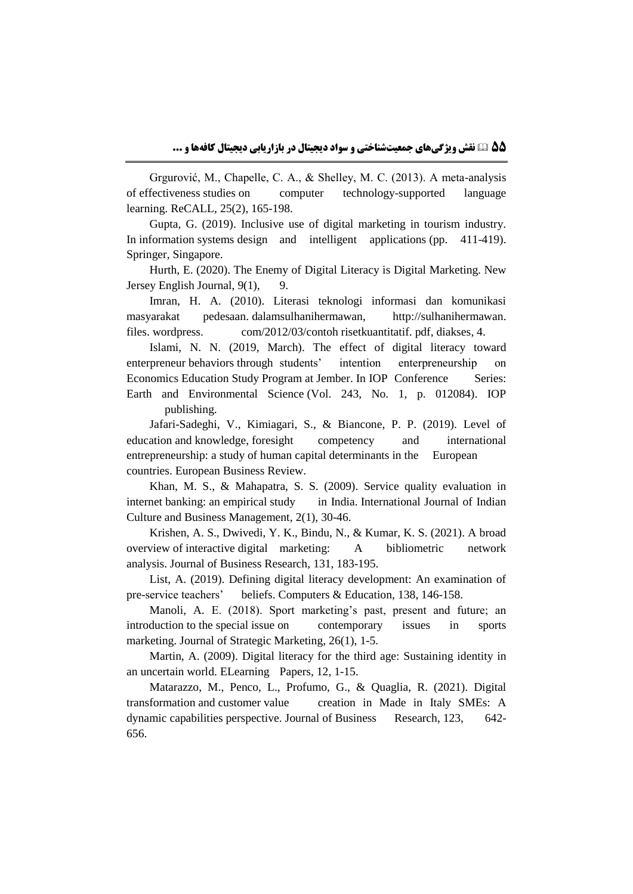Grgurović, M., Chapelle, C. A., & Shelley, M. C. (2013). A meta-analysis of effectiveness studies on computer technology-supported language learning. ReCALL, 25(2), 165-198.

Gupta, G. (2019). Inclusive use of digital marketing in tourism industry. In information systems design and intelligent applications (pp. 411-419). Springer, Singapore.

Hurth, E. (2020). The Enemy of Digital Literacy is Digital Marketing. New Jersey English Journal, 9(1), 9.

Imran, H. A. (2010). Literasi teknologi informasi dan komunikasi masyarakat pedesaan. dalamsulhanihermawan, http://sulhanihermawan. files. wordpress. com/2012/03/contoh risetkuantitatif. pdf, diakses, 4.

Islami, N. N. (2019, March). The effect of digital literacy toward enterpreneur behaviors through students' intention enterpreneurship on Economics Education Study Program at Jember. In IOP Conference Series: Earth and Environmental Science (Vol. 243, No. 1, p. 012084). IOP publishing.

Jafari-Sadeghi, V., Kimiagari, S., & Biancone, P. P. (2019). Level of education and knowledge, foresight competency and international entrepreneurship: a study of human capital determinants in the European countries. European Business Review.

Khan, M. S., & Mahapatra, S. S. (2009). Service quality evaluation in internet banking: an empirical study in India. International Journal of Indian Culture and Business Management, 2(1), 30-46.

Krishen, A. S., Dwivedi, Y. K., Bindu, N., & Kumar, K. S. (2021). A broad overview of interactive digital marketing: A bibliometric network analysis. Journal of Business Research, 131, 183-195.

List, A. (2019). Defining digital literacy development: An examination of pre-service teachers' beliefs. Computers & Education, 138, 146-158.

Manoli, A. E. (2018). Sport marketing's past, present and future; an introduction to the special issue on contemporary issues in sports marketing. Journal of Strategic Marketing, 26(1), 1-5.

Martin, A. (2009). Digital literacy for the third age: Sustaining identity in an uncertain world. ELearning Papers, 12, 1-15.

Matarazzo, M., Penco, L., Profumo, G., & Quaglia, R. (2021). Digital transformation and customer value creation in Made in Italy SMEs: A dynamic capabilities perspective. Journal of Business Research, 123, 642- 656.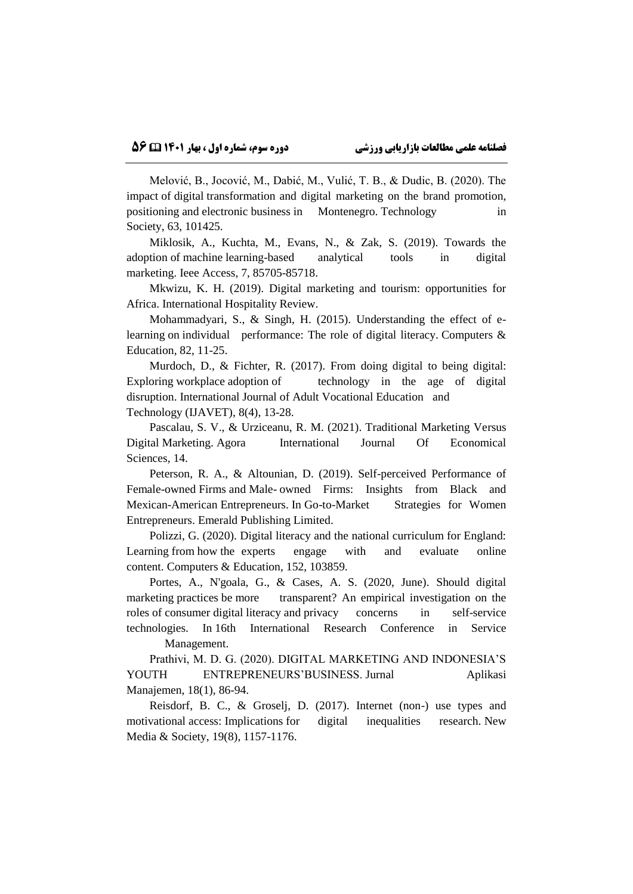Melović, B., Jocović, M., Dabić, M., Vulić, T. B., & Dudic, B. (2020). The impact of digital transformation and digital marketing on the brand promotion, positioning and electronic business in Montenegro. Technology in in Society, 63, 101425.

Miklosik, A., Kuchta, M., Evans, N., & Zak, S. (2019). Towards the adoption of machine learning-based analytical tools in digital marketing. Ieee Access, 7, 85705-85718.

Mkwizu, K. H. (2019). Digital marketing and tourism: opportunities for Africa. International Hospitality Review.

Mohammadyari, S., & Singh, H. (2015). Understanding the effect of elearning on individual performance: The role of digital literacy. Computers & Education, 82, 11-25.

Murdoch, D., & Fichter, R. (2017). From doing digital to being digital: Exploring workplace adoption of technology in the age of digital disruption. International Journal of Adult Vocational Education and Technology (IJAVET), 8(4), 13-28.

Pascalau, S. V., & Urziceanu, R. M. (2021). Traditional Marketing Versus Digital Marketing. Agora International Journal Of Economical Sciences, 14.

Peterson, R. A., & Altounian, D. (2019). Self-perceived Performance of Female-owned Firms and Male- owned Firms: Insights from Black and Mexican-American Entrepreneurs. In Go-to-Market Strategies for Women Entrepreneurs. Emerald Publishing Limited.

Polizzi, G. (2020). Digital literacy and the national curriculum for England: Learning from how the experts engage with and evaluate online content. Computers & Education, 152, 103859.

Portes, A., N'goala, G., & Cases, A. S. (2020, June). Should digital marketing practices be more transparent? An empirical investigation on the roles of consumer digital literacy and privacy concerns in self-service technologies. In 16th International Research Conference in Service

Management.

Prathivi, M. D. G. (2020). DIGITAL MARKETING AND INDONESIA'S YOUTH ENTREPRENEURS'BUSINESS. Jurnal Aplikasi Manajemen, 18(1), 86-94.

Reisdorf, B. C., & Groselj, D. (2017). Internet (non-) use types and motivational access: Implications for digital inequalities research. New Media & Society, 19(8), 1157-1176.